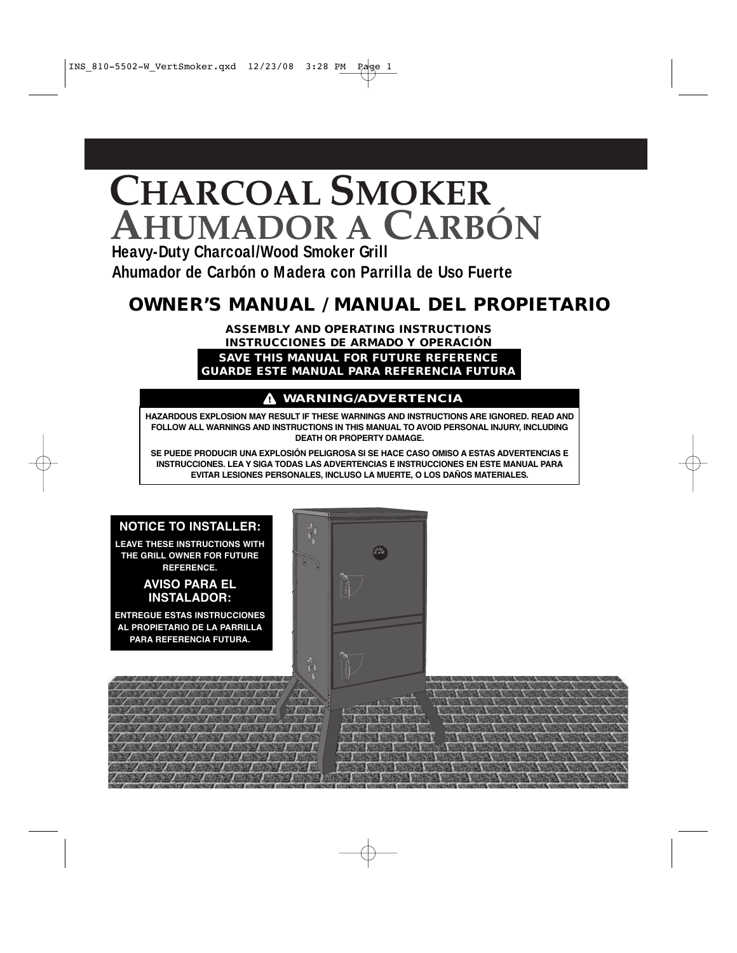# **CHARCOAL SMOKER AHUMADOR A CARBÓN**

**Heavy-Duty Charcoal/Wood Smoker Grill Ahumador de Carbón o Madera con Parrilla de Uso Fuerte**

# **OWNER'S MANUAL / MANUAL DEL PROPIETARIO**

**ASSEMBLY AND OPERATING INSTRUCTIONS INSTRUCCIONES DE ARMADO Y OPERACIÓN**

**SAVE THIS MANUAL FOR FUTURE REFERENCE GUARDE ESTE MANUAL PARA REFERENCIA FUTURA**

### **WARNING/ADVERTENCIA**

**HAZARDOUS EXPLOSION MAY RESULT IF THESE WARNINGS AND INSTRUCTIONS ARE IGNORED. READ AND FOLLOW ALL WARNINGS AND INSTRUCTIONS IN THIS MANUAL TO AVOID PERSONAL INJURY, INCLUDING DEATH OR PROPERTY DAMAGE.**

**SE PUEDE PRODUCIR UNA EXPLOSIÓN PELIGROSA SI SE HACE CASO OMISO A ESTAS ADVERTENCIAS E INSTRUCCIONES. LEA Y SIGA TODAS LAS ADVERTENCIAS E INSTRUCCIONES EN ESTE MANUAL PARA EVITAR LESIONES PERSONALES, INCLUSO LA MUERTE, O LOS DAÑOS MATERIALES.**

### **NOTICE TO INSTALLER:**

**LEAVE THESE INSTRUCTIONS WITH THE GRILL OWNER FOR FUTURE REFERENCE.**

#### **AVISO PARA EL INSTALADOR:**

**ENTREGUE ESTAS INSTRUCCIONES AL PROPIETARIO DE LA PARRILLA PARA REFERENCIA FUTURA.**

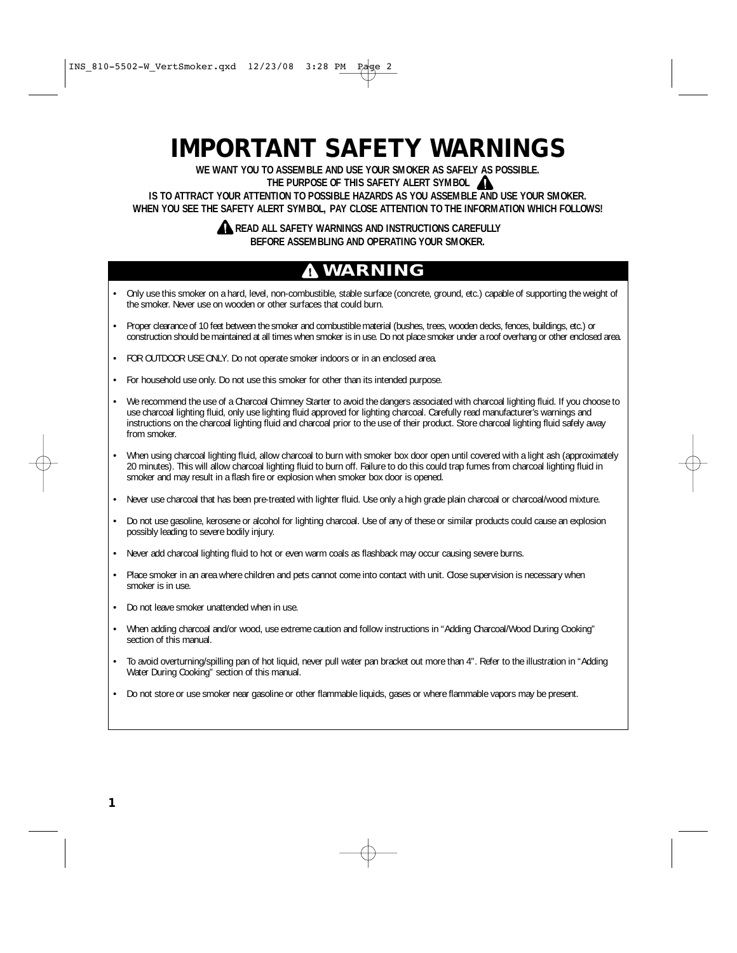# **IMPORTANT SAFETY WARNINGS**

**WE WANT YOU TO ASSEMBLE AND USE YOUR SMOKER AS SAFELY AS POSSIBLE.**

**THE PURPOSE OF THIS SAFETY ALERT SYMBOL**

**IS TO ATTRACT YOUR ATTENTION TO POSSIBLE HAZARDS AS YOU ASSEMBLE AND USE YOUR SMOKER. WHEN YOU SEE THE SAFETY ALERT SYMBOL, PAY CLOSE ATTENTION TO THE INFORMATION WHICH FOLLOWS!** 

### **A READ ALL SAFETY WARNINGS AND INSTRUCTIONS CAREFULLY BEFORE ASSEMBLING AND OPERATING YOUR SMOKER.**

# **WARNING**

- Only use this smoker on a hard, level, non-combustible, stable surface (concrete, ground, etc.) capable of supporting the weight of the smoker. Never use on wooden or other surfaces that could burn.
- Proper clearance of 10 feet between the smoker and combustible material (bushes, trees, wooden decks, fences, buildings, etc.) or construction should be maintained at all times when smoker is in use. Do not place smoker under a roof overhang or other enclosed area.
- FOR OUTDOOR USE ONLY. Do not operate smoker indoors or in an enclosed area.
- For household use only. Do not use this smoker for other than its intended purpose.
- We recommend the use of a Charcoal Chimney Starter to avoid the dangers associated with charcoal lighting fluid. If you choose to use charcoal lighting fluid, only use lighting fluid approved for lighting charcoal. Carefully read manufacturer's warnings and instructions on the charcoal lighting fluid and charcoal prior to the use of their product. Store charcoal lighting fluid safely away from smoker.
- When using charcoal lighting fluid, allow charcoal to burn with smoker box door open until covered with a light ash (approximately 20 minutes). This will allow charcoal lighting fluid to burn off. Failure to do this could trap fumes from charcoal lighting fluid in smoker and may result in a flash fire or explosion when smoker box door is opened.
- Never use charcoal that has been pre-treated with lighter fluid. Use only a high grade plain charcoal or charcoal/wood mixture.
- Do not use gasoline, kerosene or alcohol for lighting charcoal. Use of any of these or similar products could cause an explosion possibly leading to severe bodily injury.
- Never add charcoal lighting fluid to hot or even warm coals as flashback may occur causing severe burns.
- Place smoker in an area where children and pets cannot come into contact with unit. Close supervision is necessary when smoker is in use.
- Do not leave smoker unattended when in use.
- When adding charcoal and/or wood, use extreme caution and follow instructions in "Adding Charcoal/Wood During Cooking" section of this manual.
- To avoid overturning/spilling pan of hot liquid, never pull water pan bracket out more than 4". Refer to the illustration in "Adding Water During Cooking" section of this manual.
- Do not store or use smoker near gasoline or other flammable liquids, gases or where flammable vapors may be present.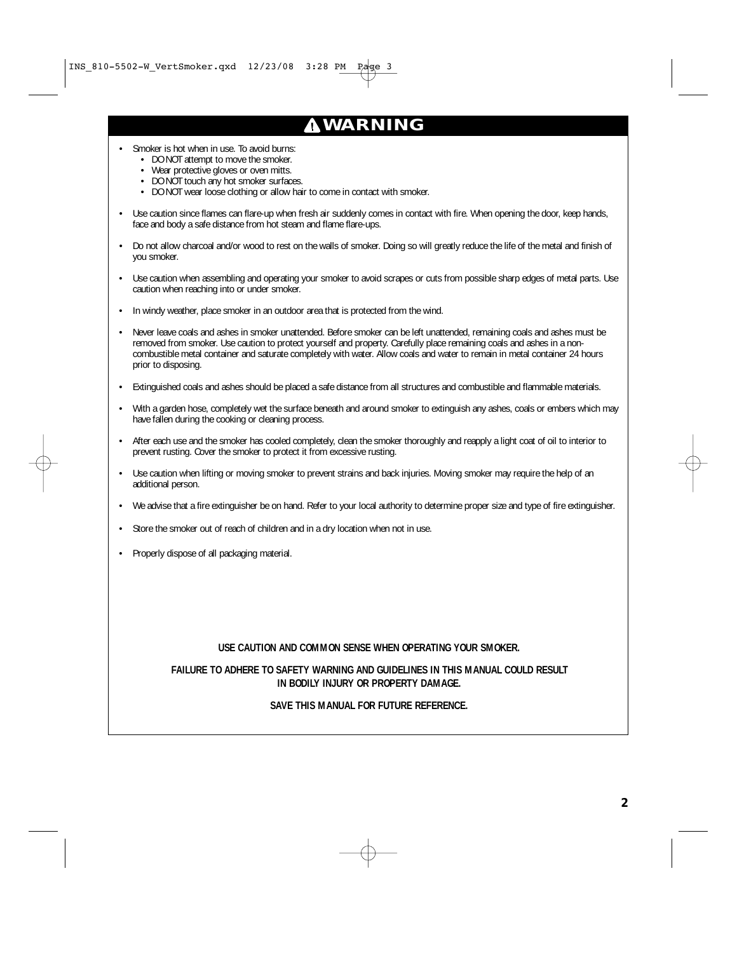# **WARNING**

- Smoker is hot when in use. To avoid burns:
	- DO NOT attempt to move the smoker.
	- Wear protective gloves or oven mitts.
	- DO NOT touch any hot smoker surfaces.
	- DO NOT wear loose clothing or allow hair to come in contact with smoker.
- Use caution since flames can flare-up when fresh air suddenly comes in contact with fire. When opening the door, keep hands, face and body a safe distance from hot steam and flame flare-ups.
- Do not allow charcoal and/or wood to rest on the walls of smoker. Doing so will greatly reduce the life of the metal and finish of you smoker.
- Use caution when assembling and operating your smoker to avoid scrapes or cuts from possible sharp edges of metal parts. Use caution when reaching into or under smoker.
- In windy weather, place smoker in an outdoor area that is protected from the wind.
- Never leave coals and ashes in smoker unattended. Before smoker can be left unattended, remaining coals and ashes must be removed from smoker. Use caution to protect yourself and property. Carefully place remaining coals and ashes in a noncombustible metal container and saturate completely with water. Allow coals and water to remain in metal container 24 hours prior to disposing.
- Extinguished coals and ashes should be placed a safe distance from all structures and combustible and flammable materials.
- With a garden hose, completely wet the surface beneath and around smoker to extinguish any ashes, coals or embers which may have fallen during the cooking or cleaning process.
- After each use and the smoker has cooled completely, clean the smoker thoroughly and reapply a light coat of oil to interior to prevent rusting. Cover the smoker to protect it from excessive rusting.
- Use caution when lifting or moving smoker to prevent strains and back injuries. Moving smoker may require the help of an additional person.
- We advise that a fire extinguisher be on hand. Refer to your local authority to determine proper size and type of fire extinguisher.
- Store the smoker out of reach of children and in a dry location when not in use.
- Properly dispose of all packaging material.

#### **USE CAUTION AND COMMON SENSE WHEN OPERATING YOUR SMOKER.**

#### **FAILURE TO ADHERE TO SAFETY WARNING AND GUIDELINES IN THIS MANUAL COULD RESULT IN BODILY INJURY OR PROPERTY DAMAGE.**

#### **SAVE THIS MANUAL FOR FUTURE REFERENCE.**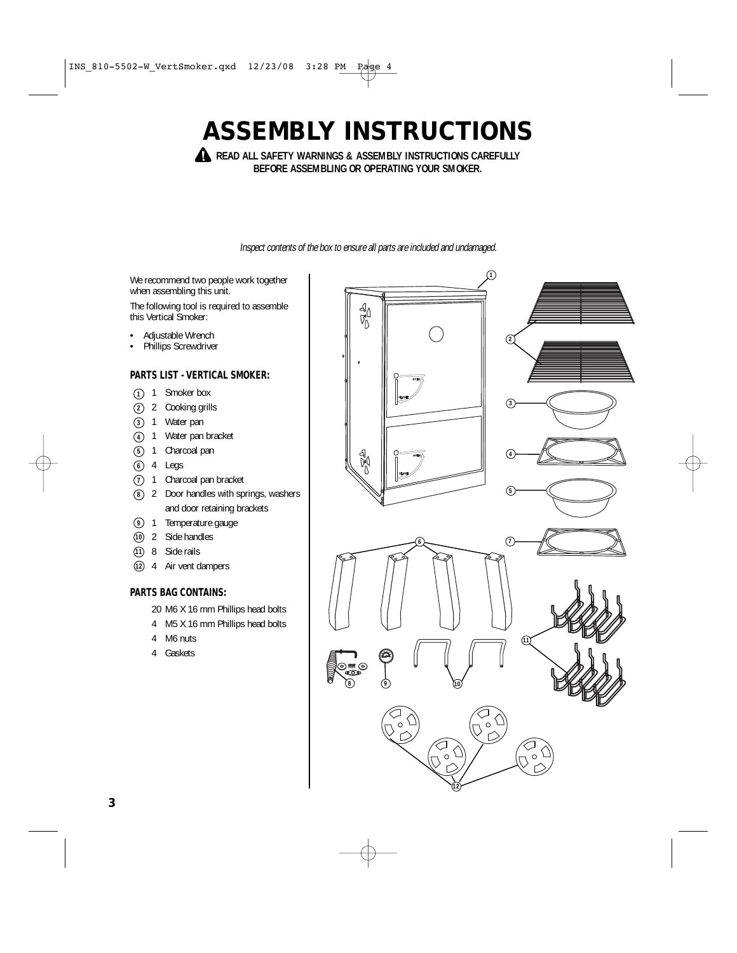# **ASSEMBLY INSTRUCTIONS**

**A** READ ALL SAFETY WARNINGS & ASSEMBLY INSTRUCTIONS CAREFULLY **BEFORE ASSEMBLING OR OPERATING YOUR SMOKER.**

Inspect contents of the box to ensure all parts are included and undamaged.

We recommend two people work together when assembling this unit.

The following tool is required to assemble this Vertical Smoker:

- Adjustable Wrench
- Phillips Screwdriver

#### **PARTS LIST - VERTICAL SMOKER:**

- 1 Smoker box **1**
- 2 Cooking grills **2**
- 1 Water pan **3**
- 1 Water pan bracket **4**
- 1 Charcoal pan **5**
- 4 Legs **6**
- 1 Charcoal pan bracket **7**
- 2 Door handles with springs, washers **8** and door retaining brackets
- **9** 1 Temperature gauge
- 2 Side handles **10**
- 8 Side rails **11**
- 4 Air vent dampers **12**

#### **PARTS BAG CONTAINS:**

- 20 M6 X 16 mm Phillips head bolts
- 4 M5 X 16 mm Phillips head bolts
- 4 M6 nuts
- 4 Gaskets

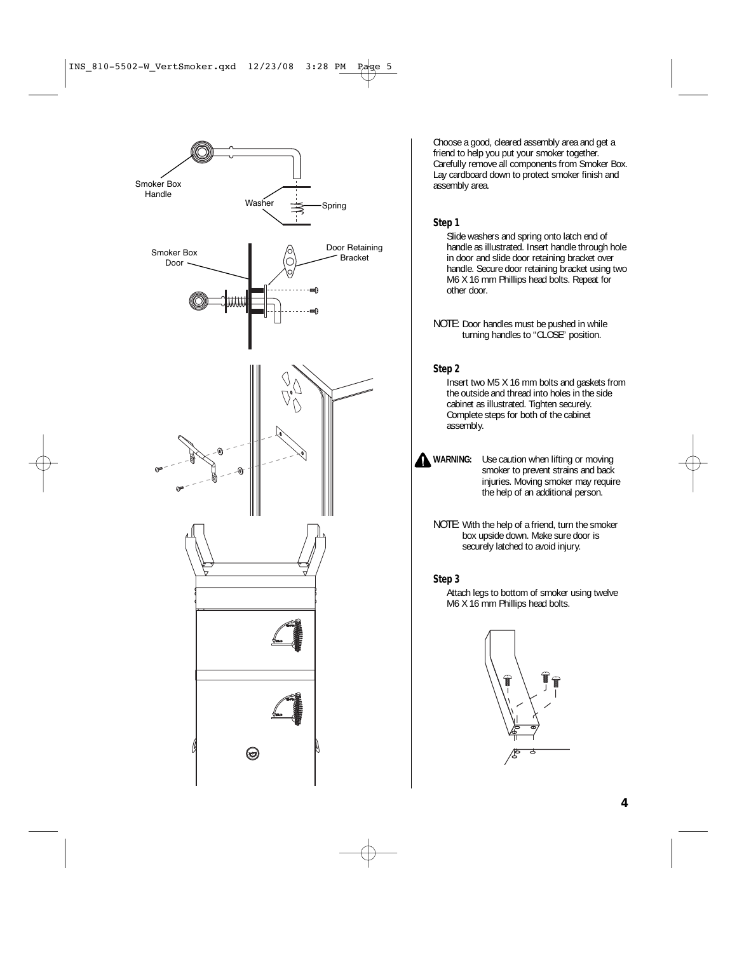

Choose a good, cleared assembly area and get a friend to help you put your smoker together. Carefully remove all components from Smoker Box. Lay cardboard down to protect smoker finish and assembly area.

#### **Step 1**

Slide washers and spring onto latch end of handle as illustrated. Insert handle through hole in door and slide door retaining bracket over handle. Secure door retaining bracket using two M6 X 16 mm Phillips head bolts. Repeat for other door.

#### **Step 2**

Insert two M5 X 16 mm bolts and gaskets from the outside and thread into holes in the side cabinet as illustrated. Tighten securely. Complete steps for both of the cabinet assembly.

- **WARNING:** Use caution when lifting or moving smoker to prevent strains and back injuries. Moving smoker may require the help of an additional person.
	- NOTE: With the help of a friend, turn the smoker box upside down. Make sure door is securely latched to avoid injury.

#### **Step 3**

Attach legs to bottom of smoker using twelve M6 X 16 mm Phillips head bolts.



NOTE: Door handles must be pushed in while turning handles to "CLOSE" position.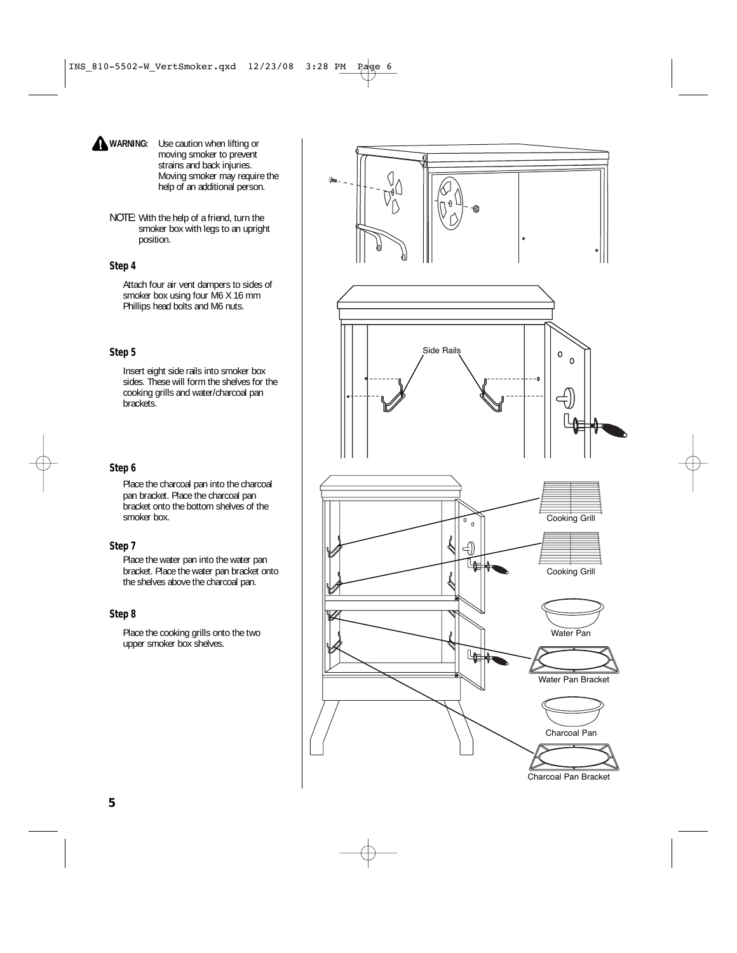- **WARNING:** Use caution when lifting or moving smoker to prevent strains and back injuries. Moving smoker may require the help of an additional person.
- NOTE: With the help of a friend, turn the smoker box with legs to an upright position.

#### **Step 4**

Attach four air vent dampers to sides of smoker box using four M6 X 16 mm Phillips head bolts and M6 nuts.

#### **Step 5**

Insert eight side rails into smoker box sides. These will form the shelves for the cooking grills and water/charcoal pan brackets.

#### **Step 6**

Place the charcoal pan into the charcoal pan bracket. Place the charcoal pan bracket onto the bottom shelves of the smoker box.

#### **Step 7**

Place the water pan into the water pan bracket. Place the water pan bracket onto the shelves above the charcoal pan.

#### **Step 8**

Place the cooking grills onto the two upper smoker box shelves.



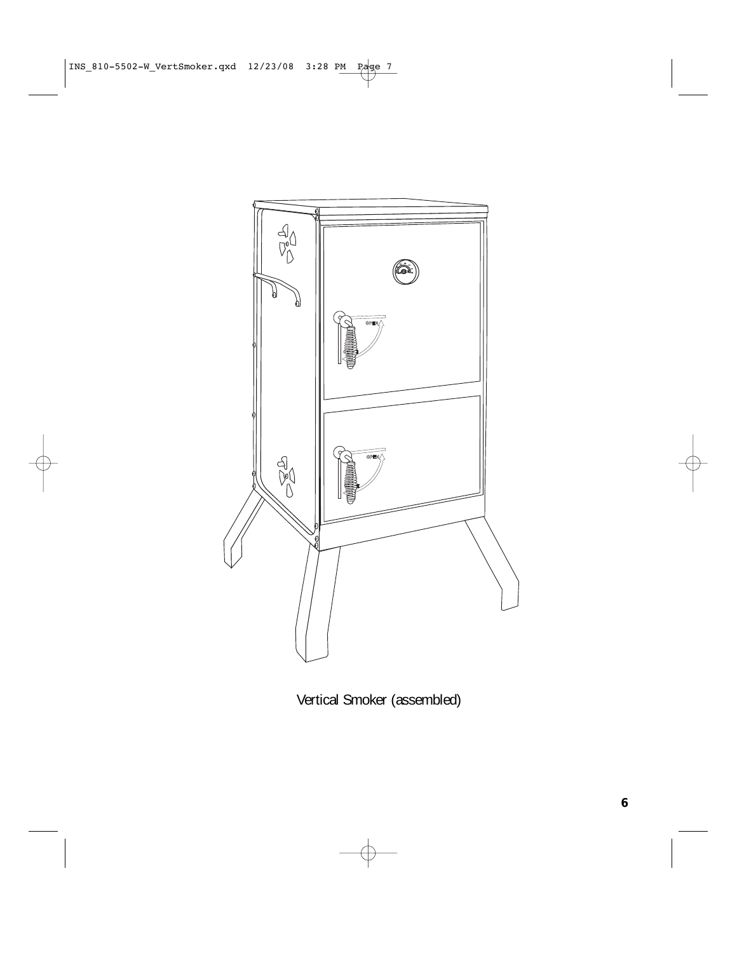

Vertical Smoker (assembled)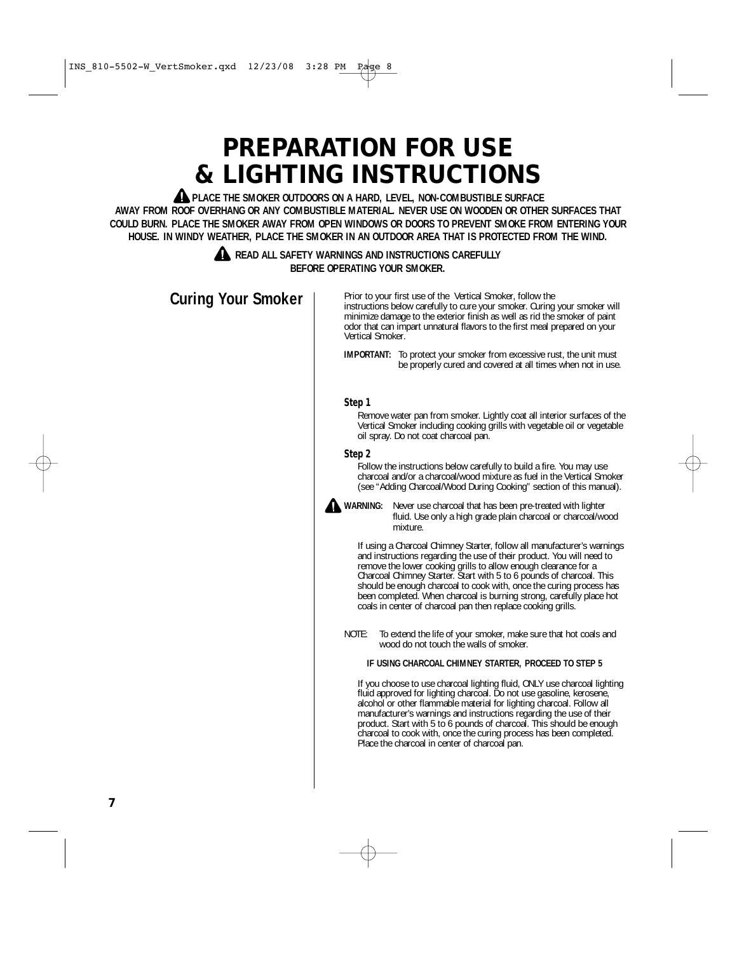# **PREPARATION FOR USE & LIGHTING INSTRUCTIONS**

**A PLACE THE SMOKER OUTDOORS ON A HARD, LEVEL, NON-COMBUSTIBLE SURFACE AWAY FROM ROOF OVERHANG OR ANY COMBUSTIBLE MATERIAL. NEVER USE ON WOODEN OR OTHER SURFACES THAT COULD BURN. PLACE THE SMOKER AWAY FROM OPEN WINDOWS OR DOORS TO PREVENT SMOKE FROM ENTERING YOUR HOUSE. IN WINDY WEATHER, PLACE THE SMOKER IN AN OUTDOOR AREA THAT IS PROTECTED FROM THE WIND.**

#### **READ ALL SAFETY WARNINGS AND INSTRUCTIONS CAREFULLY BEFORE OPERATING YOUR SMOKER.**

**Curing Your Smoker**

Prior to your first use of the Vertical Smoker, follow the instructions below carefully to cure your smoker. Curing your smoker will minimize damage to the exterior finish as well as rid the smoker of paint odor that can impart unnatural flavors to the first meal prepared on your Vertical Smoker.

**IMPORTANT:** To protect your smoker from excessive rust, the unit must be properly cured and covered at all times when not in use.

#### **Step 1**

Remove water pan from smoker. Lightly coat all interior surfaces of the Vertical Smoker including cooking grills with vegetable oil or vegetable oil spray. Do not coat charcoal pan.

#### **Step 2**

Follow the instructions below carefully to build a fire. You may use charcoal and/or a charcoal/wood mixture as fuel in the Vertical Smoker (see "Adding Charcoal/Wood During Cooking" section of this manual).



**WARNING:** Never use charcoal that has been pre-treated with lighter fluid. Use only a high grade plain charcoal or charcoal/wood mixture.

> If using a Charcoal Chimney Starter, follow all manufacturer's warnings and instructions regarding the use of their product. You will need to remove the lower cooking grills to allow enough clearance for a Charcoal Chimney Starter. Start with 5 to 6 pounds of charcoal. This should be enough charcoal to cook with, once the curing process has been completed. When charcoal is burning strong, carefully place hot coals in center of charcoal pan then replace cooking grills.

NOTE: To extend the life of your smoker, make sure that hot coals and wood do not touch the walls of smoker.

#### **IF USING CHARCOAL CHIMNEY STARTER, PROCEED TO STEP 5**

If you choose to use charcoal lighting fluid, ONLY use charcoal lighting fluid approved for lighting charcoal. Do not use gasoline, kerosene, alcohol or other flammable material for lighting charcoal. Follow all manufacturer's warnings and instructions regarding the use of their product. Start with 5 to 6 pounds of charcoal. This should be enough charcoal to cook with, once the curing process has been completed. Place the charcoal in center of charcoal pan.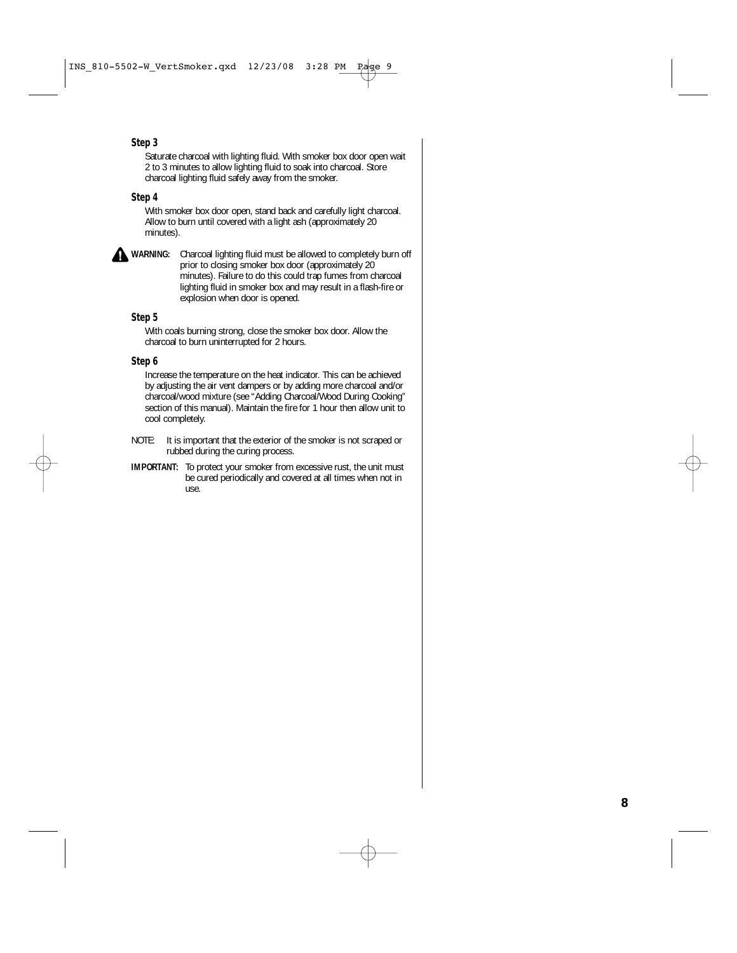#### **Step 3**

Saturate charcoal with lighting fluid. With smoker box door open wait 2 to 3 minutes to allow lighting fluid to soak into charcoal. Store charcoal lighting fluid safely away from the smoker.

#### **Step 4**

With smoker box door open, stand back and carefully light charcoal. Allow to burn until covered with a light ash (approximately 20 minutes).

**WARNING:** Charcoal lighting fluid must be allowed to completely burn off prior to closing smoker box door (approximately 20 minutes). Failure to do this could trap fumes from charcoal lighting fluid in smoker box and may result in a flash-fire or explosion when door is opened.

#### **Step 5**

With coals burning strong, close the smoker box door. Allow the charcoal to burn uninterrupted for 2 hours.

#### **Step 6**

Increase the temperature on the heat indicator. This can be achieved by adjusting the air vent dampers or by adding more charcoal and/or charcoal/wood mixture (see "Adding Charcoal/Wood During Cooking" section of this manual). Maintain the fire for 1 hour then allow unit to cool completely.

- NOTE: It is important that the exterior of the smoker is not scraped or rubbed during the curing process.
- **IMPORTANT:** To protect your smoker from excessive rust, the unit must be cured periodically and covered at all times when not in use.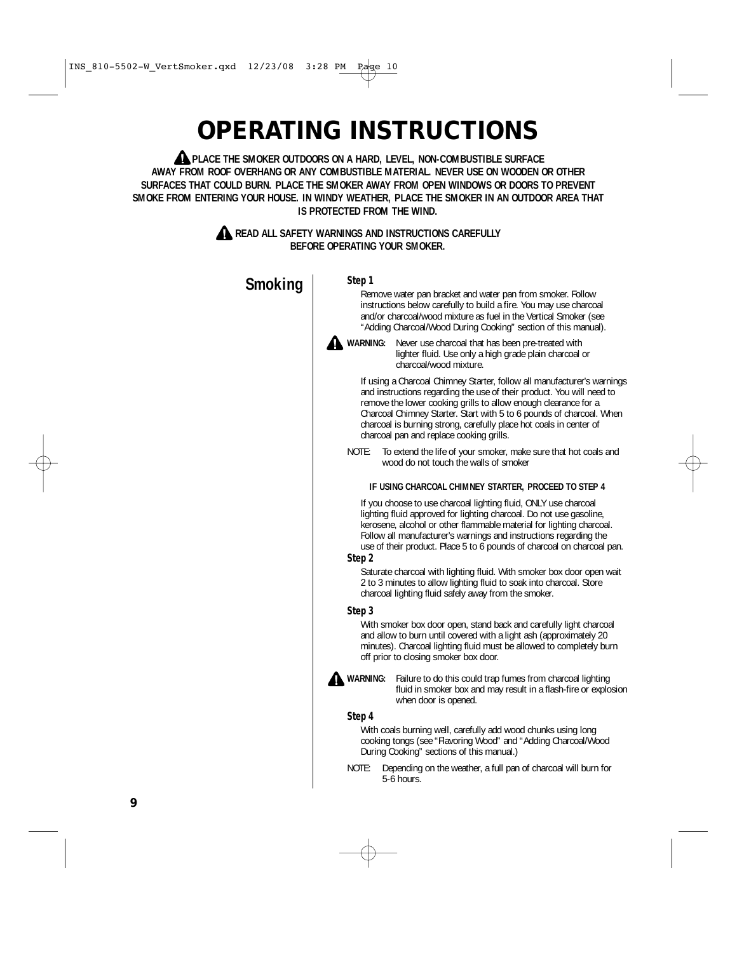# **OPERATING INSTRUCTIONS**

**A** PLACE THE SMOKER OUTDOORS ON A HARD, LEVEL, NON-COMBUSTIBLE SURFACE **AWAY FROM ROOF OVERHANG OR ANY COMBUSTIBLE MATERIAL. NEVER USE ON WOODEN OR OTHER SURFACES THAT COULD BURN. PLACE THE SMOKER AWAY FROM OPEN WINDOWS OR DOORS TO PREVENT SMOKE FROM ENTERING YOUR HOUSE. IN WINDY WEATHER, PLACE THE SMOKER IN AN OUTDOOR AREA THAT IS PROTECTED FROM THE WIND.**

#### **A READ ALL SAFETY WARNINGS AND INSTRUCTIONS CAREFULLY BEFORE OPERATING YOUR SMOKER.**



**Step 1**

Remove water pan bracket and water pan from smoker. Follow instructions below carefully to build a fire. You may use charcoal and/or charcoal/wood mixture as fuel in the Vertical Smoker (see "Adding Charcoal/Wood During Cooking" section of this manual).



**WARNING:** Never use charcoal that has been pre-treated with lighter fluid. Use only a high grade plain charcoal or charcoal/wood mixture.

If using a Charcoal Chimney Starter, follow all manufacturer's warnings and instructions regarding the use of their product. You will need to remove the lower cooking grills to allow enough clearance for a Charcoal Chimney Starter. Start with 5 to 6 pounds of charcoal. When charcoal is burning strong, carefully place hot coals in center of charcoal pan and replace cooking grills.

NOTE: To extend the life of your smoker, make sure that hot coals and wood do not touch the walls of smoker

#### **IF USING CHARCOAL CHIMNEY STARTER, PROCEED TO STEP 4**

If you choose to use charcoal lighting fluid, ONLY use charcoal lighting fluid approved for lighting charcoal. Do not use gasoline, kerosene, alcohol or other flammable material for lighting charcoal. Follow all manufacturer's warnings and instructions regarding the use of their product. Place 5 to 6 pounds of charcoal on charcoal pan.

#### **Step 2**

Saturate charcoal with lighting fluid. With smoker box door open wait 2 to 3 minutes to allow lighting fluid to soak into charcoal. Store charcoal lighting fluid safely away from the smoker.

#### **Step 3**

With smoker box door open, stand back and carefully light charcoal and allow to burn until covered with a light ash (approximately 20 minutes). Charcoal lighting fluid must be allowed to completely burn off prior to closing smoker box door.



**A** WARNING: Failure to do this could trap fumes from charcoal lighting fluid in smoker box and may result in a flash-fire or explosion when door is opened.

#### **Step 4**

With coals burning well, carefully add wood chunks using long cooking tongs (see "Flavoring Wood" and "Adding Charcoal/Wood During Cooking" sections of this manual.)

NOTE: Depending on the weather, a full pan of charcoal will burn for 5-6 hours.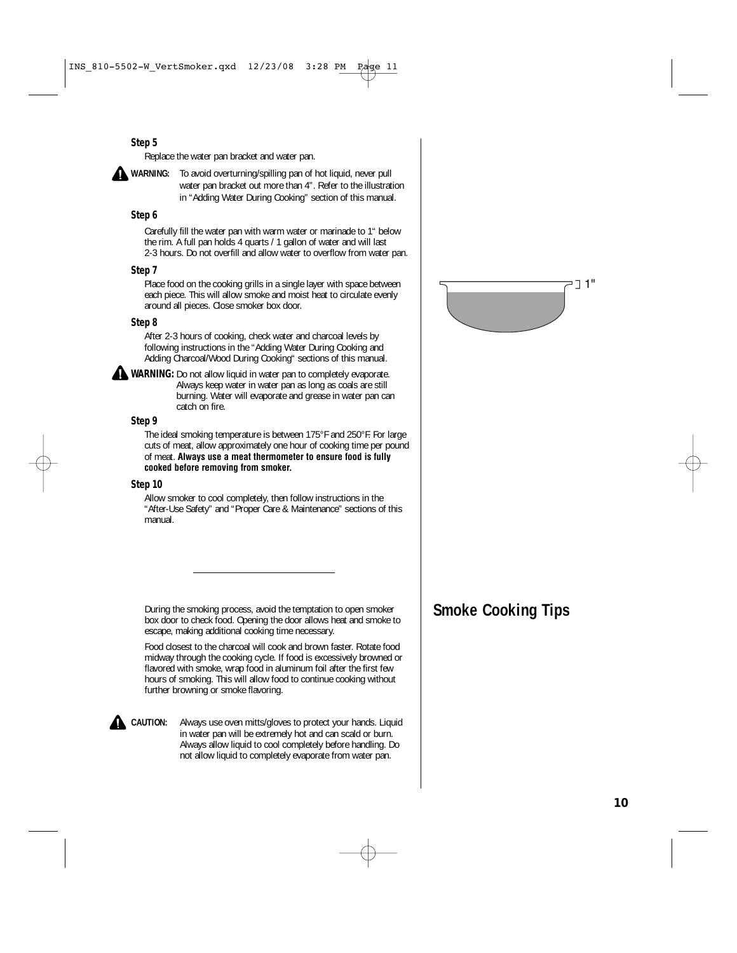#### **Step 5**

Replace the water pan bracket and water pan.

**WARNING:** To avoid overturning/spilling pan of hot liquid, never pull water pan bracket out more than 4". Refer to the illustration in "Adding Water During Cooking" section of this manual.

#### **Step 6**

Carefully fill the water pan with warm water or marinade to 1" below the rim. A full pan holds 4 quarts / 1 gallon of water and will last 2-3 hours. Do not overfill and allow water to overflow from water pan.

#### **Step 7**

Place food on the cooking grills in a single layer with space between each piece. This will allow smoke and moist heat to circulate evenly around all pieces. Close smoker box door.

#### **Step 8**

After 2-3 hours of cooking, check water and charcoal levels by following instructions in the "Adding Water During Cooking and Adding Charcoal/Wood During Cooking" sections of this manual.

**WARNING:** Do not allow liquid in water pan to completely evaporate. Always keep water in water pan as long as coals are still burning. Water will evaporate and grease in water pan can catch on fire.

#### **Step 9**

The ideal smoking temperature is between 175°F and 250°F. For large cuts of meat, allow approximately one hour of cooking time per pound of meat. **Always use a meat thermometer to ensure food is fully cooked before removing from smoker.**

#### **Step 10**

Allow smoker to cool completely, then follow instructions in the "After-Use Safety" and "Proper Care & Maintenance" sections of this manual.

During the smoking process, avoid the temptation to open smoker **Smoke Cooking Tips** box door to check food. Opening the door allows heat and smoke to escape, making additional cooking time necessary.

Food closest to the charcoal will cook and brown faster. Rotate food midway through the cooking cycle. If food is excessively browned or flavored with smoke, wrap food in aluminum foil after the first few hours of smoking. This will allow food to continue cooking without further browning or smoke flavoring.

**CAUTION:** Always use oven mitts/gloves to protect your hands. Liquid in water pan will be extremely hot and can scald or burn. Always allow liquid to cool completely before handling. Do not allow liquid to completely evaporate from water pan.

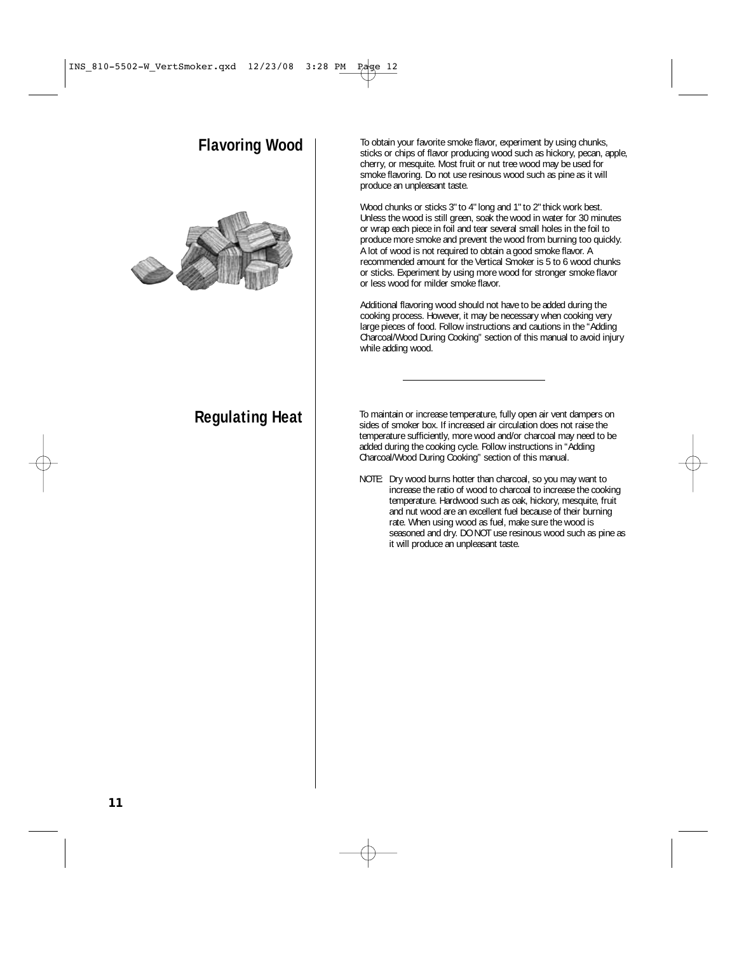## **Flavoring Wood**



To obtain your favorite smoke flavor, experiment by using chunks, sticks or chips of flavor producing wood such as hickory, pecan, apple, cherry, or mesquite. Most fruit or nut tree wood may be used for smoke flavoring. Do not use resinous wood such as pine as it will produce an unpleasant taste.

Wood chunks or sticks 3" to 4" long and 1" to 2" thick work best. Unless the wood is still green, soak the wood in water for 30 minutes or wrap each piece in foil and tear several small holes in the foil to produce more smoke and prevent the wood from burning too quickly. A lot of wood is not required to obtain a good smoke flavor. A recommended amount for the Vertical Smoker is 5 to 6 wood chunks or sticks. Experiment by using more wood for stronger smoke flavor or less wood for milder smoke flavor.

Additional flavoring wood should not have to be added during the cooking process. However, it may be necessary when cooking very large pieces of food. Follow instructions and cautions in the "Adding Charcoal/Wood During Cooking" section of this manual to avoid injury while adding wood.

**Regulating Heat** To maintain or increase temperature, fully open air vent dampers on sides of smoker box. If increased air circulation does not raise the temperature sufficiently, more wood and/or charcoal may need to be added during the cooking cycle. Follow instructions in "Adding Charcoal/Wood During Cooking" section of this manual.

> NOTE: Dry wood burns hotter than charcoal, so you may want to increase the ratio of wood to charcoal to increase the cooking temperature. Hardwood such as oak, hickory, mesquite, fruit and nut wood are an excellent fuel because of their burning rate. When using wood as fuel, make sure the wood is seasoned and dry. DO NOT use resinous wood such as pine as it will produce an unpleasant taste.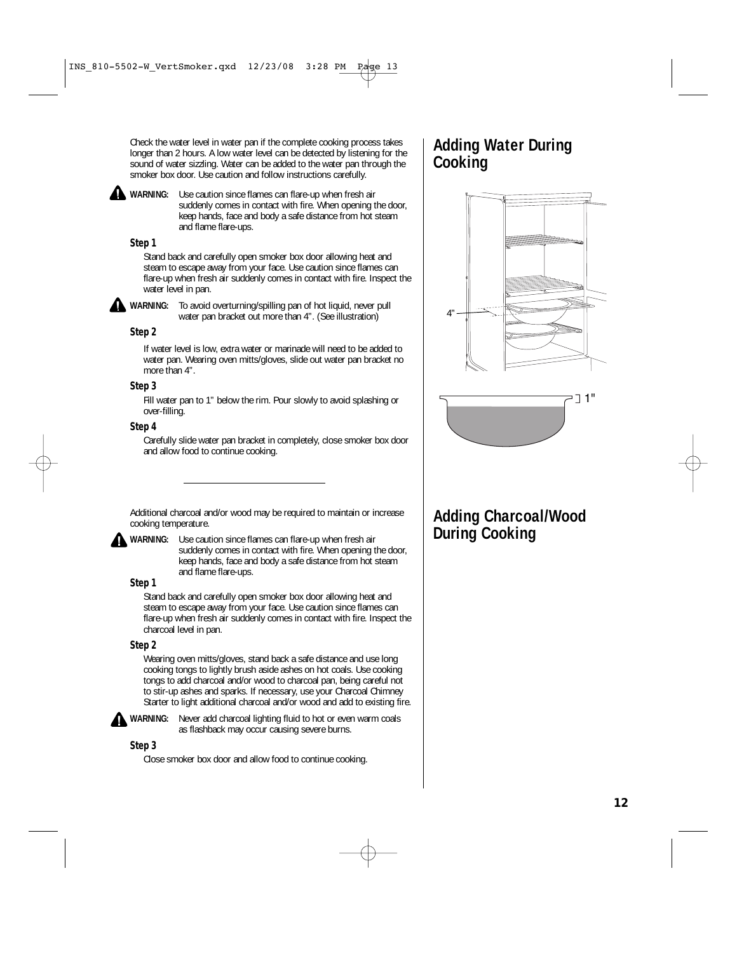Check the water level in water pan if the complete cooking process takes longer than 2 hours. A low water level can be detected by listening for the sound of water sizzling. Water can be added to the water pan through the smoker box door. Use caution and follow instructions carefully.

**WARNING:** Use caution since flames can flare-up when fresh air suddenly comes in contact with fire. When opening the door, keep hands, face and body a safe distance from hot steam and flame flare-ups.

#### **Step 1**

Stand back and carefully open smoker box door allowing heat and steam to escape away from your face. Use caution since flames can flare-up when fresh air suddenly comes in contact with fire. Inspect the water level in pan.

**WARNING:** To avoid overturning/spilling pan of hot liquid, never pull water pan bracket out more than 4". (See illustration)

#### **Step 2**

If water level is low, extra water or marinade will need to be added to water pan. Wearing oven mitts/gloves, slide out water pan bracket no more than 4".

#### **Step 3**

Fill water pan to 1" below the rim. Pour slowly to avoid splashing or over-filling.

#### **Step 4**

Carefully slide water pan bracket in completely, close smoker box door and allow food to continue cooking.

Additional charcoal and/or wood may be required to maintain or increase cooking temperature.



**WARNING:** Use caution since flames can flare-up when fresh air suddenly comes in contact with fire. When opening the door, keep hands, face and body a safe distance from hot steam and flame flare-ups.

#### **Step 1**

Stand back and carefully open smoker box door allowing heat and steam to escape away from your face. Use caution since flames can flare-up when fresh air suddenly comes in contact with fire. Inspect the charcoal level in pan.

#### **Step 2**

Wearing oven mitts/gloves, stand back a safe distance and use long cooking tongs to lightly brush aside ashes on hot coals. Use cooking tongs to add charcoal and/or wood to charcoal pan, being careful not to stir-up ashes and sparks. If necessary, use your Charcoal Chimney Starter to light additional charcoal and/or wood and add to existing fire.



WARNING: Never add charcoal lighting fluid to hot or even warm coals as flashback may occur causing severe burns.

#### **Step 3**

Close smoker box door and allow food to continue cooking.

## **Adding Water During Cooking**





# **Adding Charcoal/Wood During Cooking**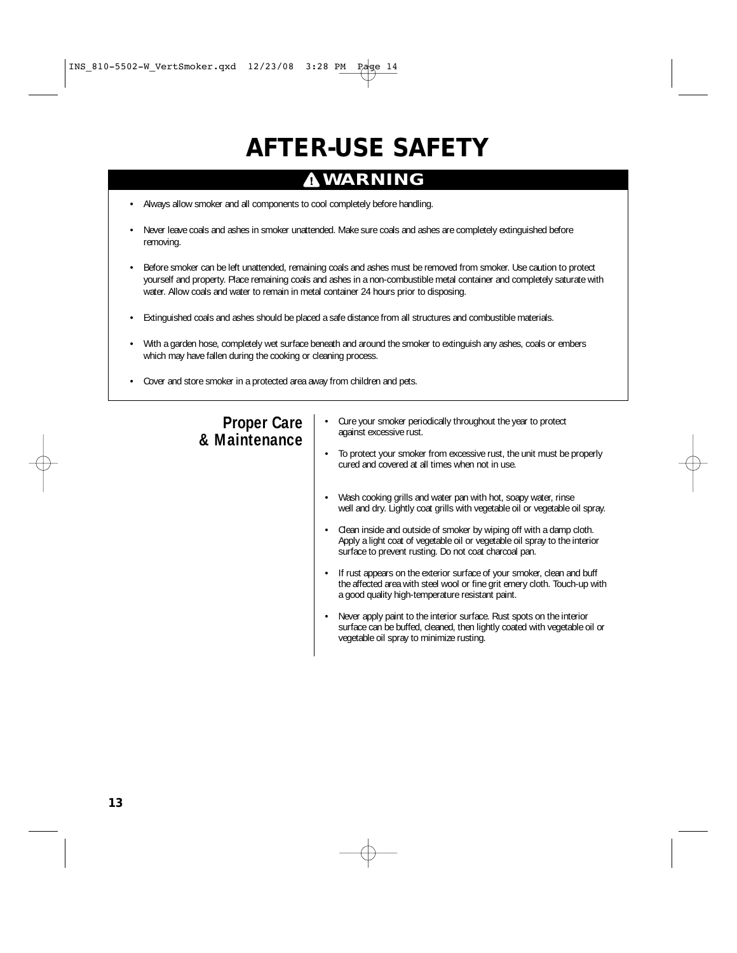# **AFTER-USE SAFETY**

## **WARNING**

- Always allow smoker and all components to cool completely before handling.
- Never leave coals and ashes in smoker unattended. Make sure coals and ashes are completely extinguished before removing.
- Before smoker can be left unattended, remaining coals and ashes must be removed from smoker. Use caution to protect yourself and property. Place remaining coals and ashes in a non-combustible metal container and completely saturate with water. Allow coals and water to remain in metal container 24 hours prior to disposing.
- Extinguished coals and ashes should be placed a safe distance from all structures and combustible materials.
- With a garden hose, completely wet surface beneath and around the smoker to extinguish any ashes, coals or embers which may have fallen during the cooking or cleaning process.
- Cover and store smoker in a protected area away from children and pets.

## **Proper Care & Maintenance**

- Cure your smoker periodically throughout the year to protect against excessive rust.
- To protect your smoker from excessive rust, the unit must be properly cured and covered at all times when not in use.
- Wash cooking grills and water pan with hot, soapy water, rinse well and dry. Lightly coat grills with vegetable oil or vegetable oil spray.
- Clean inside and outside of smoker by wiping off with a damp cloth. Apply a light coat of vegetable oil or vegetable oil spray to the interior surface to prevent rusting. Do not coat charcoal pan.
- If rust appears on the exterior surface of your smoker, clean and buff the affected area with steel wool or fine grit emery cloth. Touch-up with a good quality high-temperature resistant paint.
- Never apply paint to the interior surface. Rust spots on the interior surface can be buffed, cleaned, then lightly coated with vegetable oil or vegetable oil spray to minimize rusting.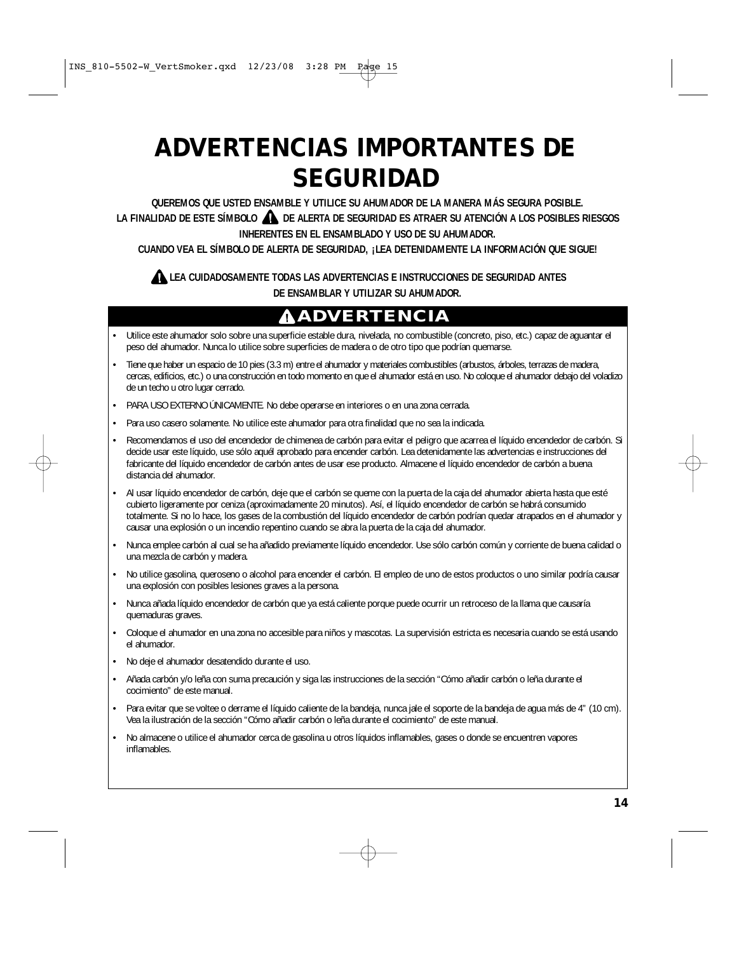# **ADVERTENCIAS IMPORTANTES DE SEGURIDAD**

**QUEREMOS QUE USTED ENSAMBLE Y UTILICE SU AHUMADOR DE LA MANERA MÁS SEGURA POSIBLE. LA FINALIDAD DE ESTE SÍMBOLO DE ALERTA DE SEGURIDAD ES ATRAER SU ATENCIÓN A LOS POSIBLES RIESGOS INHERENTES EN EL ENSAMBLADO Y USO DE SU AHUMADOR.** 

**CUANDO VEA EL SÍMBOLO DE ALERTA DE SEGURIDAD, ¡LEA DETENIDAMENTE LA INFORMACIÓN QUE SIGUE!** 

### **LEA CUIDADOSAMENTE TODAS LAS ADVERTENCIAS E INSTRUCCIONES DE SEGURIDAD ANTES DE ENSAMBLAR Y UTILIZAR SU AHUMADOR.**

# **ADVERTENCIA**

- Utilice este ahumador solo sobre una superficie estable dura, nivelada, no combustible (concreto, piso, etc.) capaz de aguantar el peso del ahumador. Nunca lo utilice sobre superficies de madera o de otro tipo que podrían quemarse.
- Tiene que haber un espacio de 10 pies (3.3 m) entre el ahumador y materiales combustibles (arbustos, árboles, terrazas de madera, cercas, edificios, etc.) o una construcción en todo momento en que el ahumador está en uso. No coloque el ahumador debajo del voladizo de un techo u otro lugar cerrado.
- PARA USO EXTERNO ÚNICAMENTE. No debe operarse en interiores o en una zona cerrada.
- Para uso casero solamente. No utilice este ahumador para otra finalidad que no sea la indicada.
- Recomendamos el uso del encendedor de chimenea de carbón para evitar el peligro que acarrea el líquido encendedor de carbón. Si decide usar este líquido, use sólo aquél aprobado para encender carbón. Lea detenidamente las advertencias e instrucciones del fabricante del líquido encendedor de carbón antes de usar ese producto. Almacene el líquido encendedor de carbón a buena distancia del ahumador.
- Al usar líquido encendedor de carbón, deje que el carbón se queme con la puerta de la caja del ahumador abierta hasta que esté cubierto ligeramente por ceniza (aproximadamente 20 minutos). Así, el líquido encendedor de carbón se habrá consumido totalmente. Si no lo hace, los gases de la combustión del líquido encendedor de carbón podrían quedar atrapados en el ahumador y causar una explosión o un incendio repentino cuando se abra la puerta de la caja del ahumador.
- Nunca emplee carbón al cual se ha añadido previamente líquido encendedor. Use sólo carbón común y corriente de buena calidad o una mezcla de carbón y madera.
- No utilice gasolina, queroseno o alcohol para encender el carbón. El empleo de uno de estos productos o uno similar podría causar una explosión con posibles lesiones graves a la persona.
- Nunca añada líquido encendedor de carbón que ya está caliente porque puede ocurrir un retroceso de la llama que causaría quemaduras graves.
- Coloque el ahumador en una zona no accesible para niños y mascotas. La supervisión estricta es necesaria cuando se está usando el ahumador.
- No deje el ahumador desatendido durante el uso.
- Añada carbón y/o leña con suma precaución y siga las instrucciones de la sección "Cómo añadir carbón o leña durante el cocimiento" de este manual.
- Para evitar que se voltee o derrame el líquido caliente de la bandeja, nunca jale el soporte de la bandeja de agua más de 4" (10 cm). Vea la ilustración de la sección "Cómo añadir carbón o leña durante el cocimiento" de este manual.
- No almacene o utilice el ahumador cerca de gasolina u otros líquidos inflamables, gases o donde se encuentren vapores inflamables.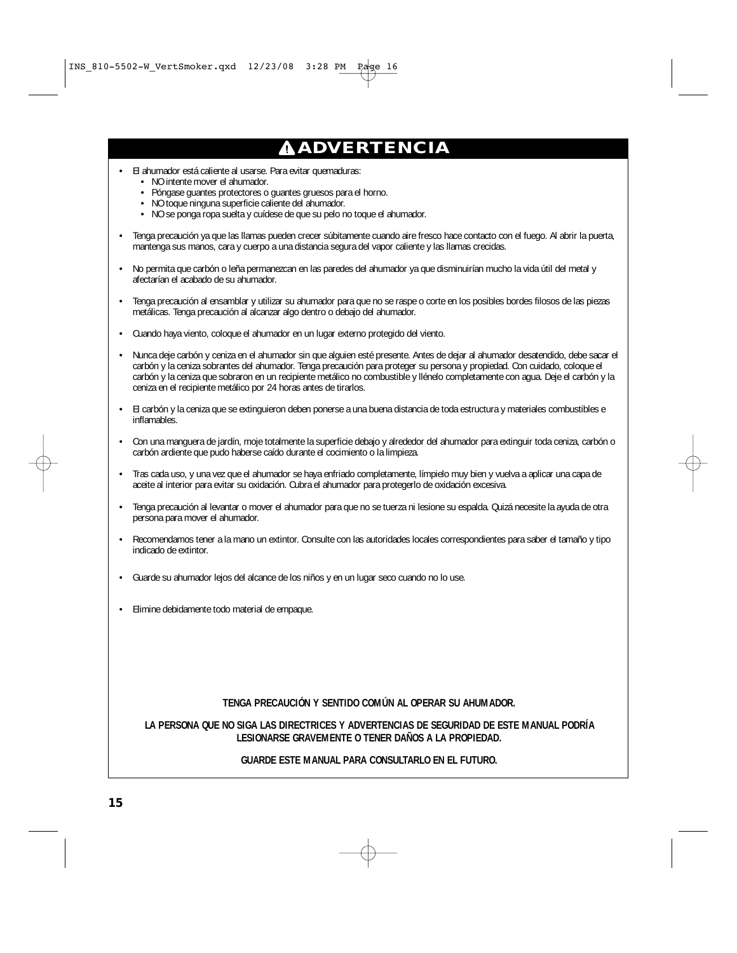# **ADVERTENCIA**

- El ahumador está caliente al usarse. Para evitar quemaduras:
	- NO intente mover el ahumador.
	- Póngase guantes protectores o guantes gruesos para el horno.
	- NO toque ninguna superficie caliente del ahumador.
	- NO se ponga ropa suelta y cuídese de que su pelo no toque el ahumador.
- Tenga precaución ya que las llamas pueden crecer súbitamente cuando aire fresco hace contacto con el fuego. Al abrir la puerta, mantenga sus manos, cara y cuerpo a una distancia segura del vapor caliente y las llamas crecidas.
- No permita que carbón o leña permanezcan en las paredes del ahumador ya que disminuirían mucho la vida útil del metal y afectarían el acabado de su ahumador.
- Tenga precaución al ensamblar y utilizar su ahumador para que no se raspe o corte en los posibles bordes filosos de las piezas metálicas. Tenga precaución al alcanzar algo dentro o debajo del ahumador.
- Cuando haya viento, coloque el ahumador en un lugar externo protegido del viento.
- Nunca deje carbón y ceniza en el ahumador sin que alguien esté presente. Antes de dejar al ahumador desatendido, debe sacar el carbón y la ceniza sobrantes del ahumador. Tenga precaución para proteger su persona y propiedad. Con cuidado, coloque el carbón y la ceniza que sobraron en un recipiente metálico no combustible y llénelo completamente con agua. Deje el carbón y la ceniza en el recipiente metálico por 24 horas antes de tirarlos.
- El carbón y la ceniza que se extinguieron deben ponerse a una buena distancia de toda estructura y materiales combustibles e inflamables.
- Con una manguera de jardín, moje totalmente la superficie debajo y alrededor del ahumador para extinguir toda ceniza, carbón o carbón ardiente que pudo haberse caído durante el cocimiento o la limpieza.
- Tras cada uso, y una vez que el ahumador se haya enfriado completamente, límpielo muy bien y vuelva a aplicar una capa de aceite al interior para evitar su oxidación. Cubra el ahumador para protegerlo de oxidación excesiva.
- Tenga precaución al levantar o mover el ahumador para que no se tuerza ni lesione su espalda. Quizá necesite la ayuda de otra persona para mover el ahumador.
- Recomendamos tener a la mano un extintor. Consulte con las autoridades locales correspondientes para saber el tamaño y tipo indicado de extintor.
- Guarde su ahumador lejos del alcance de los niños y en un lugar seco cuando no lo use.
- Elimine debidamente todo material de empaque.

#### **TENGA PRECAUCIÓN Y SENTIDO COMÚN AL OPERAR SU AHUMADOR.**

#### **LA PERSONA QUE NO SIGA LAS DIRECTRICES Y ADVERTENCIAS DE SEGURIDAD DE ESTE MANUAL PODRÍA LESIONARSE GRAVEMENTE O TENER DAÑOS A LA PROPIEDAD.**

#### **GUARDE ESTE MANUAL PARA CONSULTARLO EN EL FUTURO.**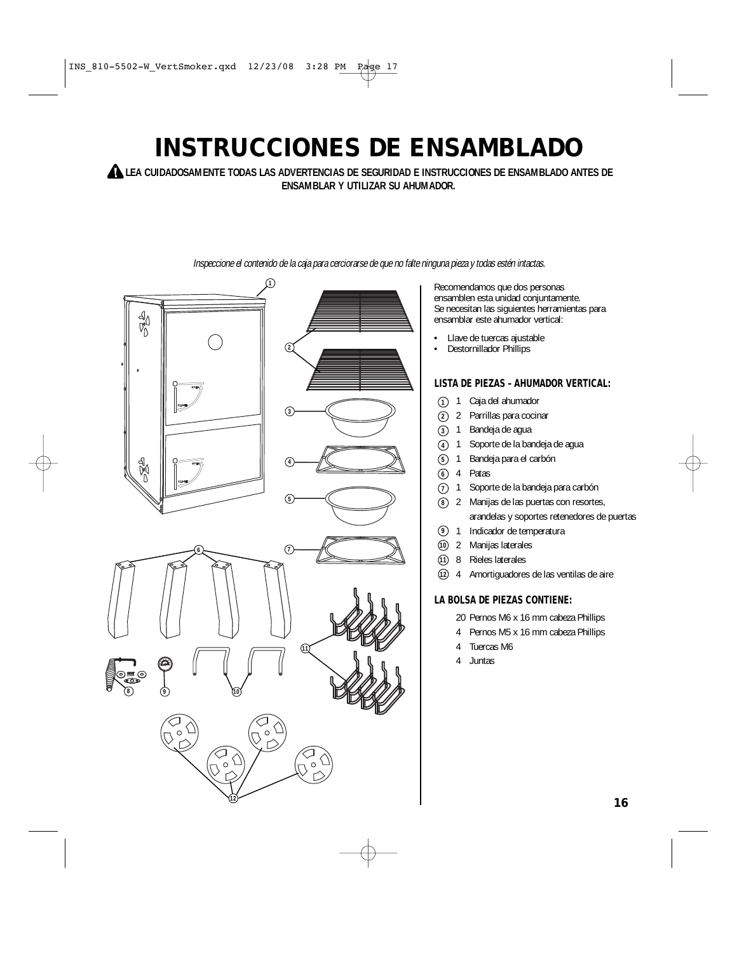# **INSTRUCCIONES DE ENSAMBLADO**

**LEA CUIDADOSAMENTE TODAS LAS ADVERTENCIAS DE SEGURIDAD E INSTRUCCIONES DE ENSAMBLADO ANTES DE ENSAMBLAR Y UTILIZAR SU AHUMADOR.**



Inspeccione el contenido de la caja para cerciorarse de que no falte ninguna pieza y todas estén intactas.

Recomendamos que dos personas ensamblen esta unidad conjuntamente. Se necesitan las siguientes herramientas para ensamblar este ahumador vertical:

- Llave de tuercas ajustable
- Destornillador Phillips

### **LISTA DE PIEZAS – AHUMADOR VERTICAL:**

- 1 Caja del ahumador **1**
- 2 Parrillas para cocinar **2**
- Bandeja de agua **3**
- Soporte de la bandeja de agua **4**
- Bandeja para el carbón **5**
- Patas **6**
- Soporte de la bandeja para carbón  $(7)$  1
- 2 Manijas de las puertas con resortes, **8** arandelas y soportes retenedores de puertas
- 1 Indicador de temperatura **9**
- 2 Manijas laterales **10**
- 8 Rieles laterales **11**
- 4 Amortiguadores de las ventilas de aire **12**

### **LA BOLSA DE PIEZAS CONTIENE:**

- 20 Pernos M6 x 16 mm cabeza Phillips
- 4 Pernos M5 x 16 mm cabeza Phillips
- 4 Tuercas M6
- 4 Juntas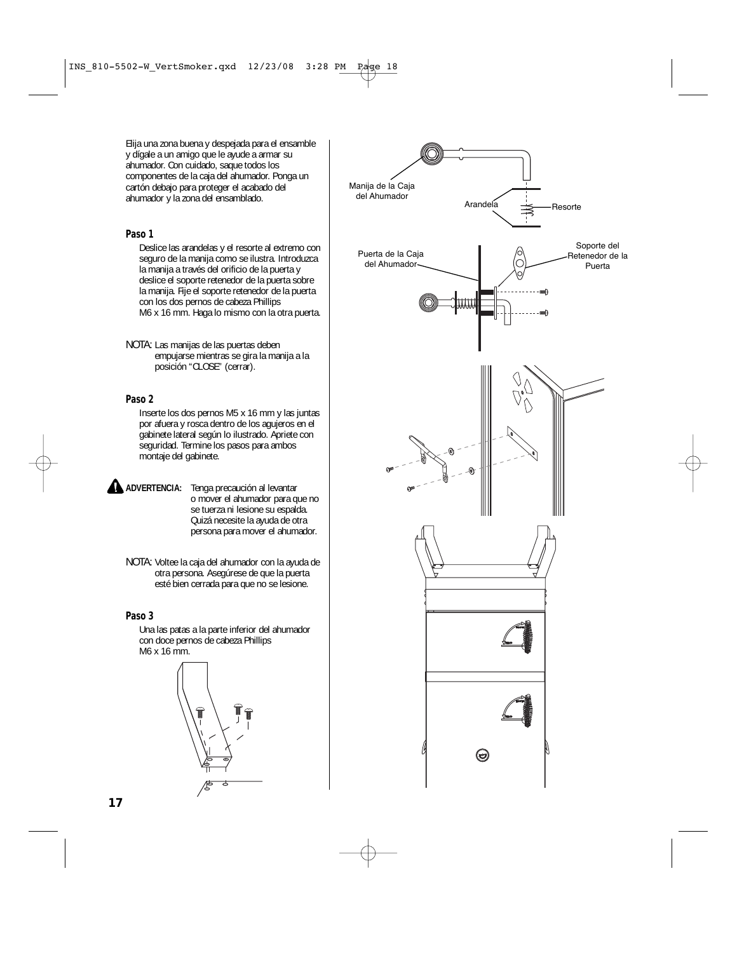Elija una zona buena y despejada para el ensamble y dígale a un amigo que le ayude a armar su ahumador. Con cuidado, saque todos los componentes de la caja del ahumador. Ponga un cartón debajo para proteger el acabado del ahumador y la zona del ensamblado.

#### **Paso 1**

Deslice las arandelas y el resorte al extremo con seguro de la manija como se ilustra. Introduzca la manija a través del orificio de la puerta y deslice el soporte retenedor de la puerta sobre la manija. Fije el soporte retenedor de la puerta con los dos pernos de cabeza Phillips M6 x 16 mm. Haga lo mismo con la otra puerta.

NOTA: Las manijas de las puertas deben empujarse mientras se gira la manija a la posición "CLOSE" (cerrar).

#### **Paso 2**

Inserte los dos pernos M5 x 16 mm y las juntas por afuera y rosca dentro de los agujeros en el gabinete lateral según lo ilustrado. Apriete con seguridad. Termine los pasos para ambos montaje del gabinete.

- **ADVERTENCIA:** Tenga precaución al levantar o mover el ahumador para que no se tuerza ni lesione su espalda. Quizá necesite la ayuda de otra persona para mover el ahumador.
	- NOTA: Voltee la caja del ahumador con la ayuda de otra persona. Asegúrese de que la puerta esté bien cerrada para que no se lesione.

#### **Paso 3**

Una las patas a la parte inferior del ahumador con doce pernos de cabeza Phillips M6 x 16 mm.



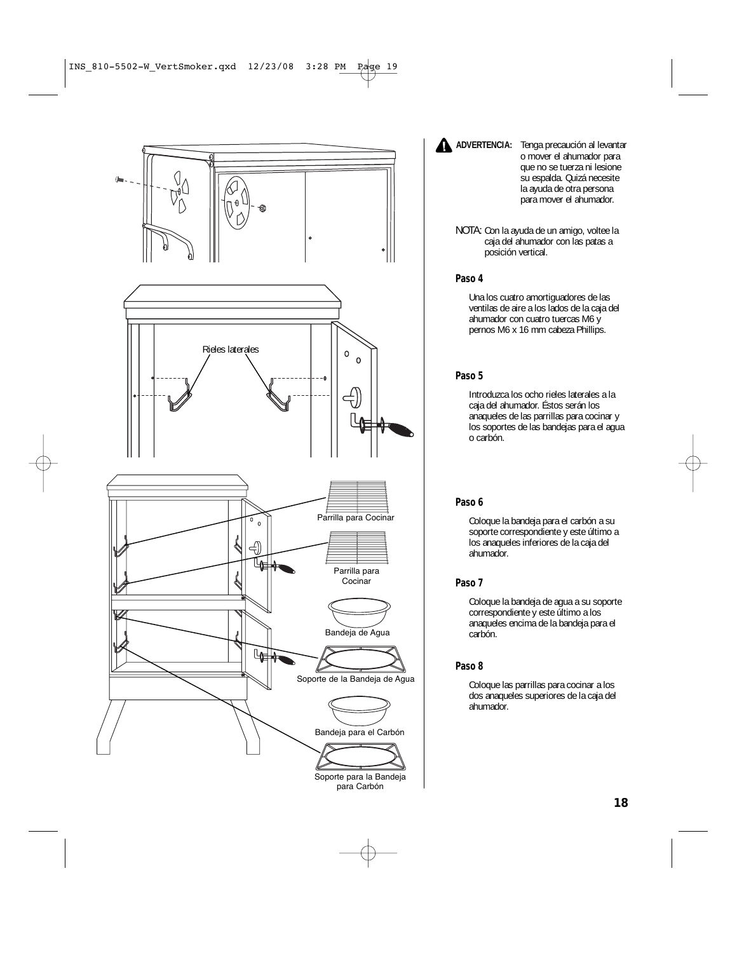

**ADVERTENCIA:** Tenga precaución al levantar o mover el ahumador para que no se tuerza ni lesione su espalda. Quizá necesite la ayuda de otra persona para mover el ahumador.

NOTA: Con la ayuda de un amigo, voltee la caja del ahumador con las patas a posición vertical.

#### **Paso 4**

Una los cuatro amortiguadores de las ventilas de aire a los lados de la caja del ahumador con cuatro tuercas M6 y pernos M6 x 16 mm cabeza Phillips.

### **Paso 5**

Introduzca los ocho rieles laterales a la caja del ahumador. Éstos serán los anaqueles de las parrillas para cocinar y los soportes de las bandejas para el agua o carbón.

### **Paso 6**

Coloque la bandeja para el carbón a su soporte correspondiente y este último a los anaqueles inferiores de la caja del ahumador.

### **Paso 7**

Coloque la bandeja de agua a su soporte correspondiente y este último a los anaqueles encima de la bandeja para el carbón.

### **Paso 8**

Coloque las parrillas para cocinar a los dos anaqueles superiores de la caja del ahumador.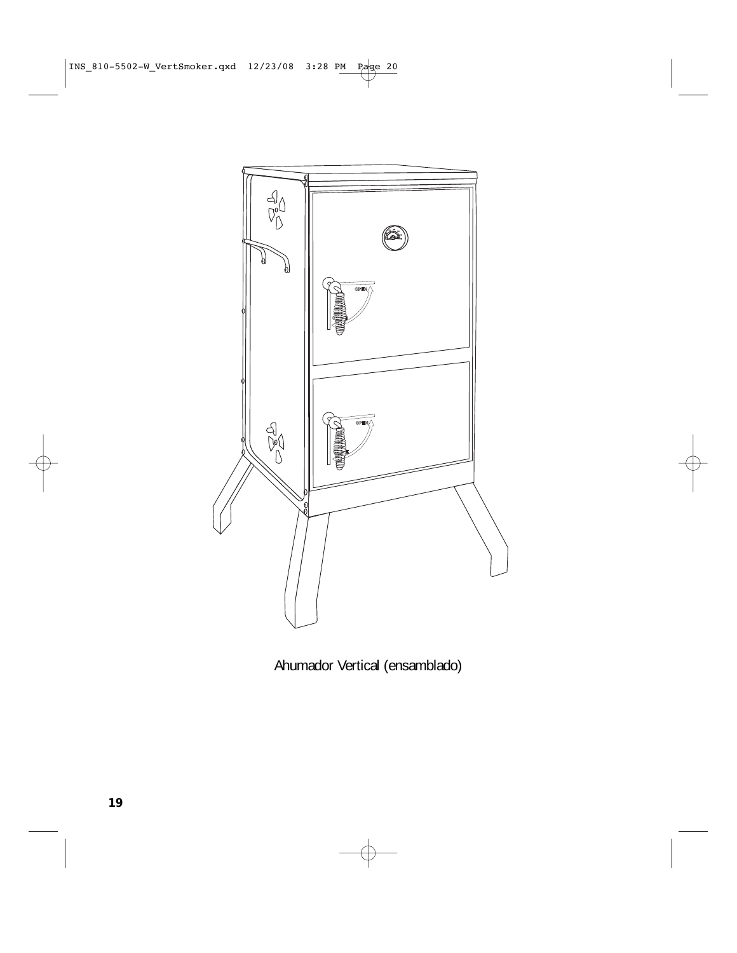

Ahumador Vertical (ensamblado)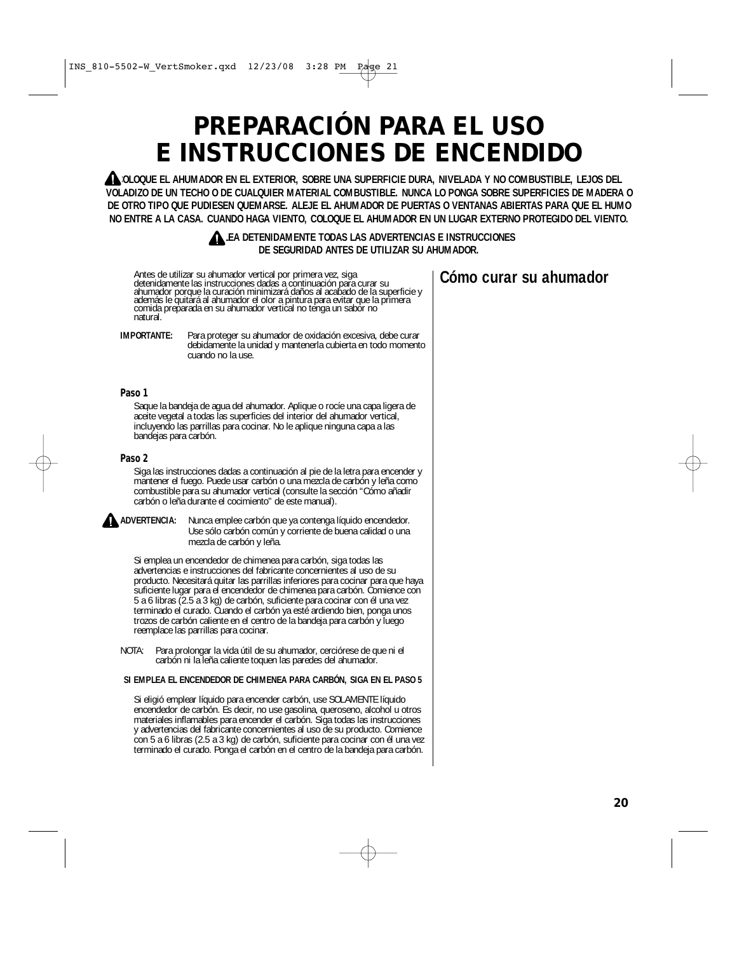# **PREPARACIÓN PARA EL USO E INSTRUCCIONES DE ENCENDIDO**

**COLOQUE EL AHUMADOR EN EL EXTERIOR, SOBRE UNA SUPERFICIE DURA, NIVELADA Y NO COMBUSTIBLE, LEJOS DEL VOLADIZO DE UN TECHO O DE CUALQUIER MATERIAL COMBUSTIBLE. NUNCA LO PONGA SOBRE SUPERFICIES DE MADERA O DE OTRO TIPO QUE PUDIESEN QUEMARSE. ALEJE EL AHUMADOR DE PUERTAS O VENTANAS ABIERTAS PARA QUE EL HUMO NO ENTRE A LA CASA. CUANDO HAGA VIENTO, COLOQUE EL AHUMADOR EN UN LUGAR EXTERNO PROTEGIDO DEL VIENTO.** 

#### **LEA DETENIDAMENTE TODAS LAS ADVERTENCIAS E INSTRUCCIONES DE SEGURIDAD ANTES DE UTILIZAR SU AHUMADOR.**

Antes de utilizar su ahumador vertical por primera vez, siga detenidamente las instrucciones dadas a continuación para curar su ahumador porque la curación minimizará daños al acabado de la superficie y además le quitará al ahumador el olor a pintura para evitar que la primera comida preparada en su ahumador vertical no tenga un sabor no natural.

**IMPORTANTE:** Para proteger su ahumador de oxidación excesiva, debe curar debidamente la unidad y mantenerla cubierta en todo momento cuando no la use.

#### **Paso 1**

Saque la bandeja de agua del ahumador. Aplique o rocíe una capa ligera de aceite vegetal a todas las superficies del interior del ahumador vertical, incluyendo las parrillas para cocinar. No le aplique ninguna capa a las bandejas para carbón.

#### **Paso 2**

Siga las instrucciones dadas a continuación al pie de la letra para encender y mantener el fuego. Puede usar carbón o una mezcla de carbón y leña como combustible para su ahumador vertical (consulte la sección "Cómo añadir carbón o leña durante el cocimiento" de este manual).



**ADVERTENCIA:** Nunca emplee carbón que ya contenga líquido encendedor. Use sólo carbón común y corriente de buena calidad o una mezcla de carbón y leña.

Si emplea un encendedor de chimenea para carbón, siga todas las advertencias e instrucciones del fabricante concernientes al uso de su producto. Necesitará quitar las parrillas inferiores para cocinar para que haya suficiente lugar para el encendedor de chimenea para carbón. Comience con 5 a 6 libras (2.5 a 3 kg) de carbón, suficiente para cocinar con él una vez terminado el curado. Cuando el carbón ya esté ardiendo bien, ponga unos trozos de carbón caliente en el centro de la bandeja para carbón y luego reemplace las parrillas para cocinar.

NOTA: Para prolongar la vida útil de su ahumador, cerciórese de que ni el carbón ni la leña caliente toquen las paredes del ahumador.

#### **SI EMPLEA EL ENCENDEDOR DE CHIMENEA PARA CARBÓN, SIGA EN EL PASO 5**

Si eligió emplear líquido para encender carbón, use SOLAMENTE líquido encendedor de carbón. Es decir, no use gasolina, queroseno, alcohol u otros materiales inflamables para encender el carbón. Siga todas las instrucciones y advertencias del fabricante concernientes al uso de su producto. Comience con 5 a 6 libras (2.5 a 3 kg) de carbón, suficiente para cocinar con él una vez terminado el curado. Ponga el carbón en el centro de la bandeja para carbón.

## **Cómo curar su ahumador**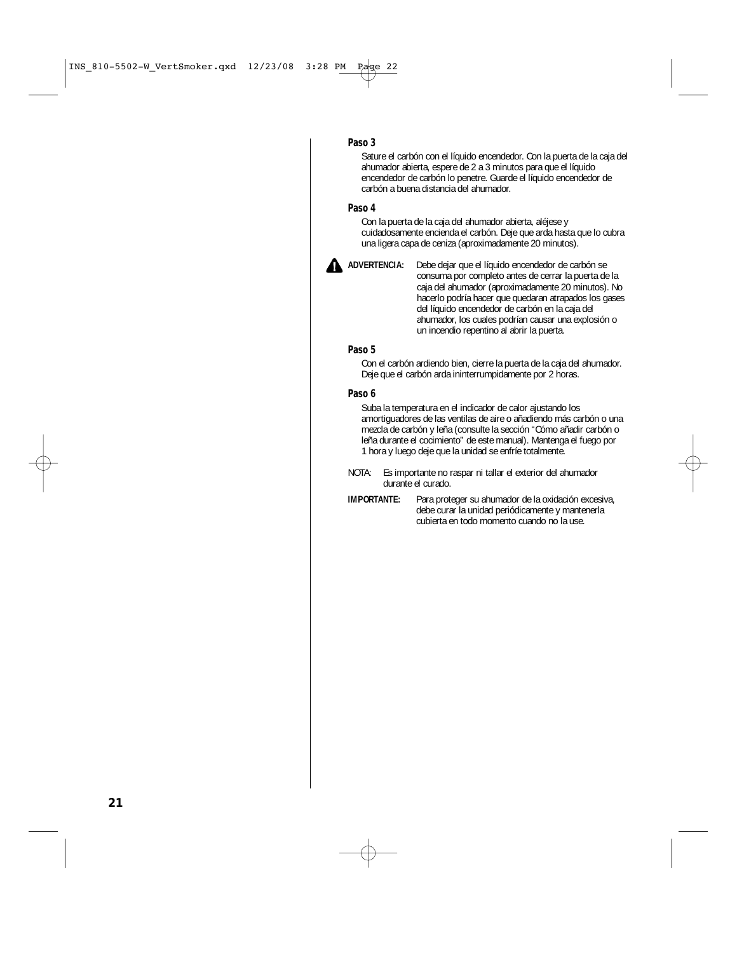#### **Paso 3**

Sature el carbón con el líquido encendedor. Con la puerta de la caja del ahumador abierta, espere de 2 a 3 minutos para que el líquido encendedor de carbón lo penetre. Guarde el líquido encendedor de carbón a buena distancia del ahumador.

#### **Paso 4**

Con la puerta de la caja del ahumador abierta, aléjese y cuidadosamente encienda el carbón. Deje que arda hasta que lo cubra una ligera capa de ceniza (aproximadamente 20 minutos).



**ADVERTENCIA:** Debe dejar que el líquido encendedor de carbón se consuma por completo antes de cerrar la puerta de la caja del ahumador (aproximadamente 20 minutos). No hacerlo podría hacer que quedaran atrapados los gases del líquido encendedor de carbón en la caja del ahumador, los cuales podrían causar una explosión o un incendio repentino al abrir la puerta.

#### **Paso 5**

Con el carbón ardiendo bien, cierre la puerta de la caja del ahumador. Deje que el carbón arda ininterrumpidamente por 2 horas.

#### **Paso 6**

Suba la temperatura en el indicador de calor ajustando los amortiguadores de las ventilas de aire o añadiendo más carbón o una mezcla de carbón y leña (consulte la sección "Cómo añadir carbón o leña durante el cocimiento" de este manual). Mantenga el fuego por 1 hora y luego deje que la unidad se enfríe totalmente.

NOTA: Es importante no raspar ni tallar el exterior del ahumador durante el curado.

**IMPORTANTE:** Para proteger su ahumador de la oxidación excesiva, debe curar la unidad periódicamente y mantenerla cubierta en todo momento cuando no la use.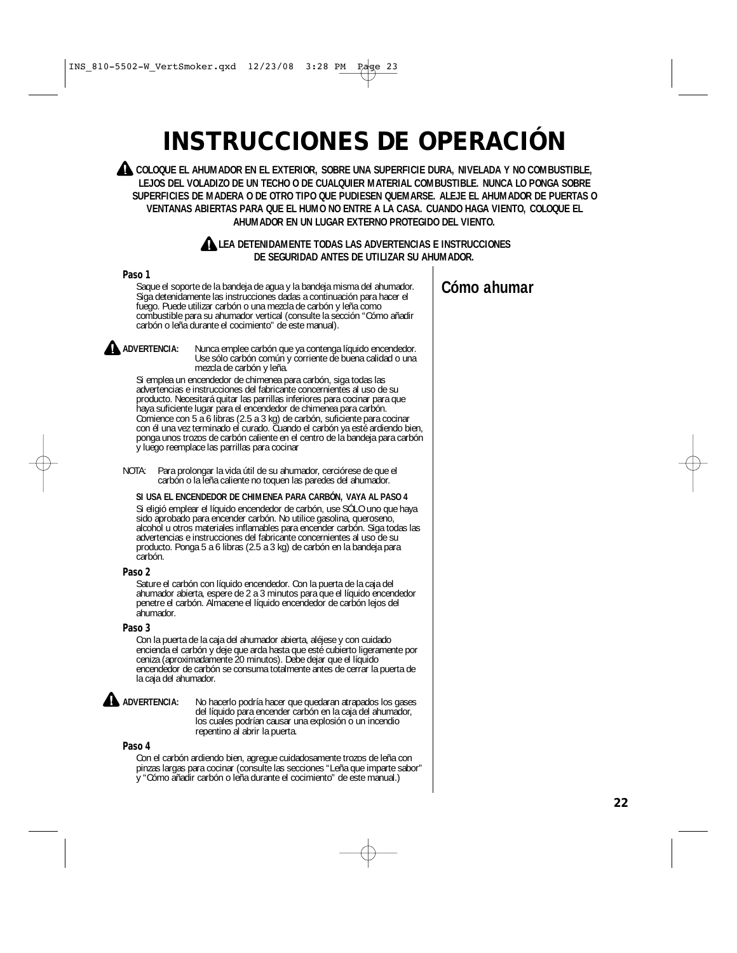# **INSTRUCCIONES DE OPERACIÓN**

**COLOQUE EL AHUMADOR EN EL EXTERIOR, SOBRE UNA SUPERFICIE DURA, NIVELADA Y NO COMBUSTIBLE, LEJOS DEL VOLADIZO DE UN TECHO O DE CUALQUIER MATERIAL COMBUSTIBLE. NUNCA LO PONGA SOBRE SUPERFICIES DE MADERA O DE OTRO TIPO QUE PUDIESEN QUEMARSE. ALEJE EL AHUMADOR DE PUERTAS O VENTANAS ABIERTAS PARA QUE EL HUMO NO ENTRE A LA CASA. CUANDO HAGA VIENTO, COLOQUE EL AHUMADOR EN UN LUGAR EXTERNO PROTEGIDO DEL VIENTO.**



**LEA DETENIDAMENTE TODAS LAS ADVERTENCIAS E INSTRUCCIONES DE SEGURIDAD ANTES DE UTILIZAR SU AHUMADOR.**

#### **Paso 1**

Saque el soporte de la bandeja de agua y la bandeja misma del ahumador. Siga detenidamente las instrucciones dadas a continuación para hacer el fuego. Puede utilizar carbón o una mezcla de carbón y leña como combustible para su ahumador vertical (consulte la sección "Cómo añadir carbón o leña durante el cocimiento" de este manual).

**ADVERTENCIA:** Nunca emplee carbón que ya contenga líquido encendedor. Use sólo carbón común y corriente de buena calidad o una mezcla de carbón y leña.

Si emplea un encendedor de chimenea para carbón, siga todas las advertencias e instrucciones del fabricante concernientes al uso de su producto. Necesitará quitar las parrillas inferiores para cocinar para que haya suficiente lugar para el encendedor de chimenea para carbón. Comience con 5 a 6 libras (2.5 a 3 kg) de carbón, suficiente para cocinar con él una vez terminado el curado. Cuando el carbón ya esté ardiendo bien, ponga unos trozos de carbón caliente en el centro de la bandeja para carbón y luego reemplace las parrillas para cocinar

NOTA: Para prolongar la vida útil de su ahumador, cerciórese de que el carbón o la leña caliente no toquen las paredes del ahumador.

#### **SI USA EL ENCENDEDOR DE CHIMENEA PARA CARBÓN, VAYA AL PASO 4**

Si eligió emplear el líquido encendedor de carbón, use SÓLO uno que haya sido aprobado para encender carbón. No utilice gasolina, queroseno, alcohol u otros materiales inflamables para encender carbón. Siga todas las advertencias e instrucciones del fabricante concernientes al uso de su producto. Ponga 5 a 6 libras (2.5 a 3 kg) de carbón en la bandeja para carbón.

#### **Paso 2**

Sature el carbón con líquido encendedor. Con la puerta de la caja del ahumador abierta, espere de 2 a 3 minutos para que el líquido encendedor penetre el carbón. Almacene el líquido encendedor de carbón lejos del ahumador.

#### **Paso 3**

Con la puerta de la caja del ahumador abierta, aléjese y con cuidado encienda el carbón y deje que arda hasta que esté cubierto ligeramente por ceniza (aproximadamente 20 minutos). Debe dejar que el líquido encendedor de carbón se consuma totalmente antes de cerrar la puerta de la caja del ahumador.

**ADVERTENCIA:** No hacerlo podría hacer que quedaran atrapados los gases del líquido para encender carbón en la caja del ahumador, los cuales podrían causar una explosión o un incendio repentino al abrir la puerta.

#### **Paso 4**

Con el carbón ardiendo bien, agregue cuidadosamente trozos de leña con pinzas largas para cocinar (consulte las secciones "Leña que imparte sabor" y "Cómo añadir carbón o leña durante el cocimiento" de este manual.)

## **Cómo ahumar**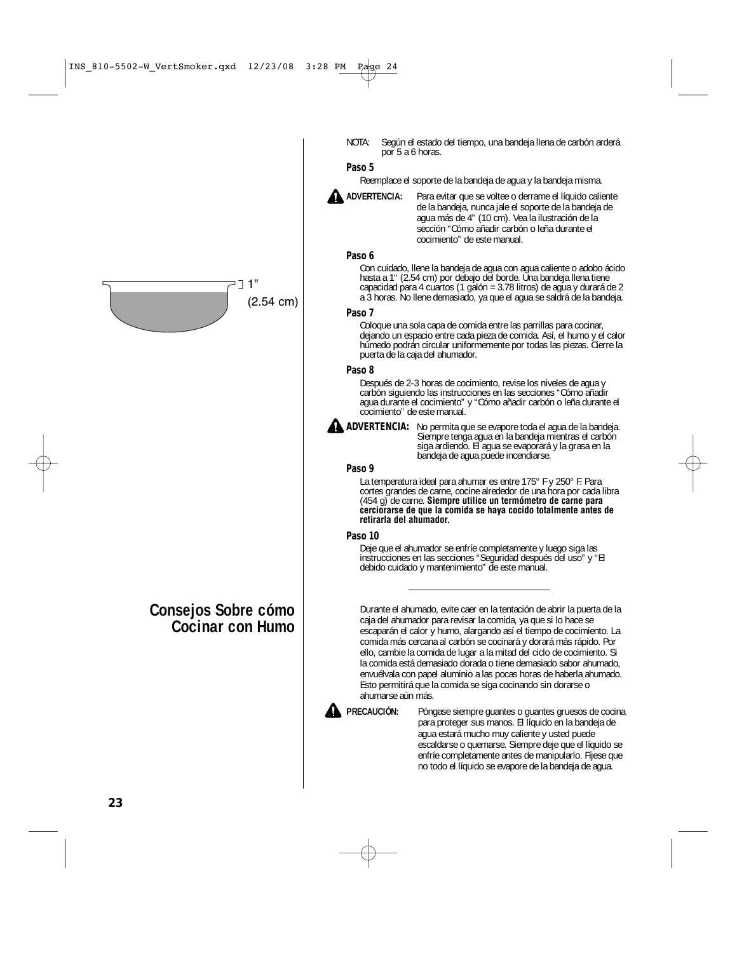1" (2.54 cm)

> **Consejos Sobre cómo Cocinar con Humo**

NOTA: Según el estado del tiempo, una bandeja llena de carbón arderá por 5 a 6 horas.

#### **Paso 5**

Reemplace el soporte de la bandeja de agua y la bandeja misma.



**ADVERTENCIA:** Para evitar que se voltee o derrame el líquido caliente de la bandeja, nunca jale el soporte de la bandeja de agua más de 4" (10 cm). Vea la ilustración de la sección "Cómo añadir carbón o leña durante el cocimiento" de este manual.

#### **Paso 6**

Con cuidado, llene la bandeja de agua con agua caliente o adobo ácido hasta a 1" (2.54 cm) por debajo del borde. Una bandeja llena tiene capacidad para 4 cuartos (1 galón = 3.78 litros) de agua y durará de 2 a 3 horas. No llene demasiado, ya que el agua se saldrá de la bandeja.

#### **Paso 7**

Coloque una sola capa de comida entre las parrillas para cocinar, dejando un espacio entre cada pieza de comida. Así, el humo y el calor húmedo podrán circular uniformemente por todas las piezas. Cierre la puerta de la caja del ahumador.

#### **Paso 8**

Después de 2-3 horas de cocimiento, revise los niveles de agua y carbón siguiendo las instrucciones en las secciones "Cómo añadir agua durante el cocimiento" y "Cómo añadir carbón o leña durante el cocimiento" de este manual.



**ADVERTENCIA:** No permita que se evapore toda el agua de la bandeja. Siempre tenga agua en la bandeja mientras el carbón siga ardiendo. El agua se evaporará y la grasa en la bandeja de agua puede incendiarse.

#### **Paso 9**

La temperatura ideal para ahumar es entre 175° F y 250° F. Para cortes grandes de carne, cocine alrededor de una hora por cada libra (454 g) de carne. **Siempre utilice un termómetro de carne para cerciorarse de que la comida se haya cocido totalmente antes de retirarla del ahumador.**

#### **Paso 10**

Deje que el ahumador se enfríe completamente y luego siga las instrucciones en las secciones "Seguridad después del uso" y "El debido cuidado y mantenimiento" de este manual.

Durante el ahumado, evite caer en la tentación de abrir la puerta de la caja del ahumador para revisar la comida, ya que si lo hace se escaparán el calor y humo, alargando así el tiempo de cocimiento. La comida más cercana al carbón se cocinará y dorará más rápido. Por ello, cambie la comida de lugar a la mitad del ciclo de cocimiento. Si la comida está demasiado dorada o tiene demasiado sabor ahumado, envuélvala con papel aluminio a las pocas horas de haberla ahumado. Esto permitirá que la comida se siga cocinando sin dorarse o ahumarse aún más.



**A PRECAUCIÓN:** Póngase siempre guantes o guantes gruesos de cocina para proteger sus manos. El líquido en la bandeja de agua estará mucho muy caliente y usted puede escaldarse o quemarse. Siempre deje que el líquido se enfríe completamente antes de manipularlo. Fíjese que no todo el líquido se evapore de la bandeja de agua.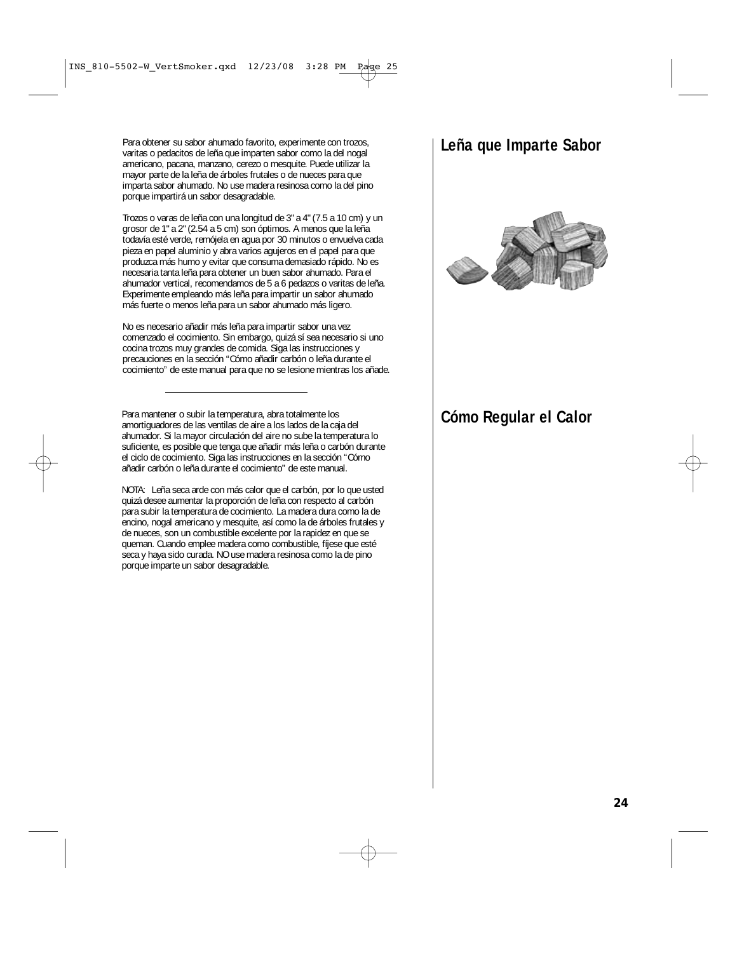Para obtener su sabor ahumado favorito, experimente con trozos, varitas o pedacitos de leña que imparten sabor como la del nogal americano, pacana, manzano, cerezo o mesquite. Puede utilizar la mayor parte de la leña de árboles frutales o de nueces para que imparta sabor ahumado. No use madera resinosa como la del pino porque impartirá un sabor desagradable.

Trozos o varas de leña con una longitud de 3" a 4" (7.5 a 10 cm) y un grosor de 1" a 2" (2.54 a 5 cm) son óptimos. A menos que la leña todavía esté verde, remójela en agua por 30 minutos o envuelva cada pieza en papel aluminio y abra varios agujeros en el papel para que produzca más humo y evitar que consuma demasiado rápido. No es necesaria tanta leña para obtener un buen sabor ahumado. Para el ahumador vertical, recomendamos de 5 a 6 pedazos o varitas de leña. Experimente empleando más leña para impartir un sabor ahumado más fuerte o menos leña para un sabor ahumado más ligero.

No es necesario añadir más leña para impartir sabor una vez comenzado el cocimiento. Sin embargo, quizá sí sea necesario si uno cocina trozos muy grandes de comida. Siga las instrucciones y precauciones en la sección "Cómo añadir carbón o leña durante el cocimiento" de este manual para que no se lesione mientras los añade.

Para mantener o subir la temperatura, abra totalmente los **Cómo Regular el Calor** amortiguadores de las ventilas de aire a los lados de la caja del ahumador. Si la mayor circulación del aire no sube la temperatura lo suficiente, es posible que tenga que añadir más leña o carbón durante el ciclo de cocimiento. Siga las instrucciones en la sección "Cómo añadir carbón o leña durante el cocimiento" de este manual.

NOTA: Leña seca arde con más calor que el carbón, por lo que usted quizá desee aumentar la proporción de leña con respecto al carbón para subir la temperatura de cocimiento. La madera dura como la de encino, nogal americano y mesquite, así como la de árboles frutales y de nueces, son un combustible excelente por la rapidez en que se queman. Cuando emplee madera como combustible, fíjese que esté seca y haya sido curada. NO use madera resinosa como la de pino porque imparte un sabor desagradable.

# **Leña que Imparte Sabor**

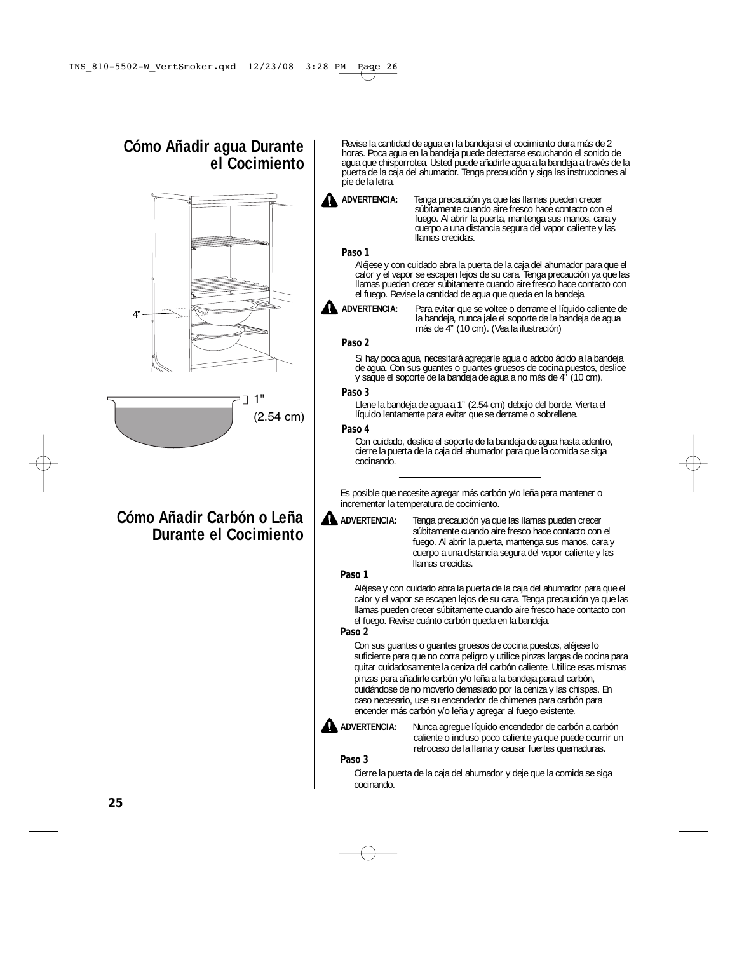## **Cómo Añadir agua Durante el Cocimiento**



 $J$  1" (2.54 cm)

## **Cómo Añadir Carbón o Leña Durante el Cocimiento**

Revise la cantidad de agua en la bandeja si el cocimiento dura más de 2 horas. Poca agua en la bandeja puede detectarse escuchando el sonido de agua que chisporrotea. Usted puede añadirle agua a la bandeja a través de la puerta de la caja del ahumador. Tenga precaución y siga las instrucciones al pie de la letra.

**ADVERTENCIA:** Tenga precaución ya que las llamas pueden crecer súbitamente cuando aire fresco hace contacto con el fuego. Al abrir la puerta, mantenga sus manos, cara y cuerpo a una distancia segura del vapor caliente y las llamas crecidas.

### **Paso 1**

Aléjese y con cuidado abra la puerta de la caja del ahumador para que el calor y el vapor se escapen lejos de su cara. Tenga precaución ya que las llamas pueden crecer súbitamente cuando aire fresco hace contacto con el fuego. Revise la cantidad de agua que queda en la bandeja.

**ADVERTENCIA:** Para evitar que se voltee o derrame el líquido caliente de la bandeja, nunca jale el soporte de la bandeja de agua más de 4" (10 cm). (Vea la ilustración)

### **Paso 2**

Si hay poca agua, necesitará agregarle agua o adobo ácido a la bandeja de agua. Con sus guantes o guantes gruesos de cocina puestos, deslice y saque el soporte de la bandeja de agua a no más de 4" (10 cm).

#### **Paso 3**

Llene la bandeja de agua a 1" (2.54 cm) debajo del borde. Vierta el líquido lentamente para evitar que se derrame o sobrellene.

#### **Paso 4**

Con cuidado, deslice el soporte de la bandeja de agua hasta adentro, cierre la puerta de la caja del ahumador para que la comida se siga cocinando.

Es posible que necesite agregar más carbón y/o leña para mantener o incrementar la temperatura de cocimiento.

**ADVERTENCIA:** Tenga precaución ya que las llamas pueden crecer súbitamente cuando aire fresco hace contacto con el fuego. Al abrir la puerta, mantenga sus manos, cara y cuerpo a una distancia segura del vapor caliente y las llamas crecidas.

#### **Paso 1**

Aléjese y con cuidado abra la puerta de la caja del ahumador para que el calor y el vapor se escapen lejos de su cara. Tenga precaución ya que las llamas pueden crecer súbitamente cuando aire fresco hace contacto con el fuego. Revise cuánto carbón queda en la bandeja.

### **Paso 2**

Con sus guantes o guantes gruesos de cocina puestos, aléjese lo suficiente para que no corra peligro y utilice pinzas largas de cocina para quitar cuidadosamente la ceniza del carbón caliente. Utilice esas mismas pinzas para añadirle carbón y/o leña a la bandeja para el carbón, cuidándose de no moverlo demasiado por la ceniza y las chispas. En caso necesario, use su encendedor de chimenea para carbón para encender más carbón y/o leña y agregar al fuego existente.

**ADVERTENCIA:** Nunca agregue líquido encendedor de carbón a carbón caliente o incluso poco caliente ya que puede ocurrir un retroceso de la llama y causar fuertes quemaduras.

#### **Paso 3**

Cierre la puerta de la caja del ahumador y deje que la comida se siga cocinando.